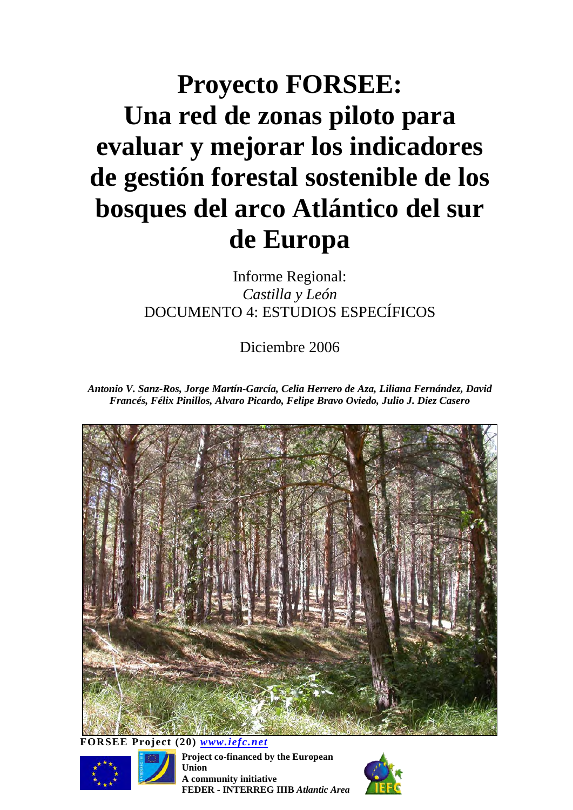# **Proyecto FORSEE: Una red de zonas piloto para evaluar y mejorar los indicadores de gestión forestal sostenible de los bosques del arco Atlántico del sur de Europa**

Informe Regional: *Castilla y León*  DOCUMENTO 4: ESTUDIOS ESPECÍFICOS

Diciembre 2006

*Antonio V. Sanz-Ros, Jorge Martín-García, Celia Herrero de Aza, Liliana Fernández, David Francés, Félix Pinillos, Alvaro Picardo, Felipe Bravo Oviedo, Julio J. Diez Casero* 



**FORSEE Project (20)** *[www.iefc.net](http://www.iefc.net/)*



**Project co-financed by the European Union A community initiative FEDER - INTERREG IIIB** *Atlantic Area*

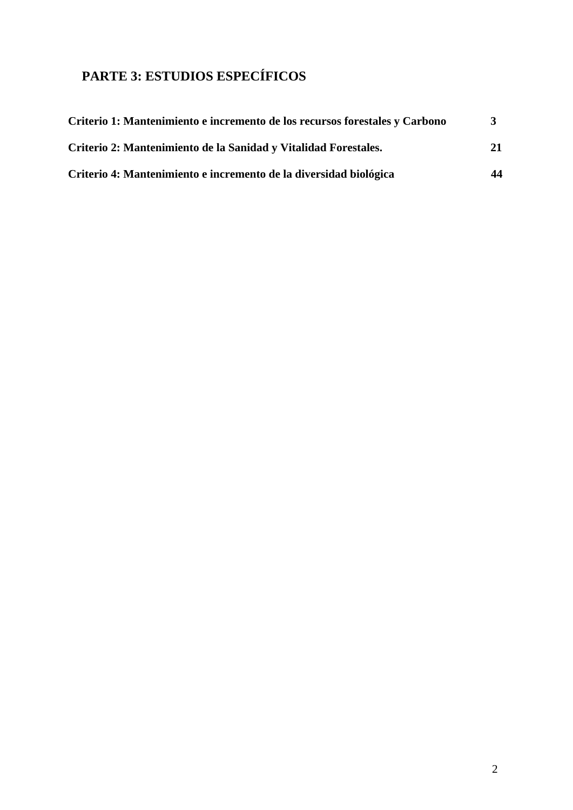# **PARTE 3: ESTUDIOS ESPECÍFICOS**

| Criterio 1: Mantenimiento e incremento de los recursos forestales y Carbono |    |
|-----------------------------------------------------------------------------|----|
| Criterio 2: Mantenimiento de la Sanidad y Vitalidad Forestales.             | 21 |
| Criterio 4: Mantenimiento e incremento de la diversidad biológica           | 44 |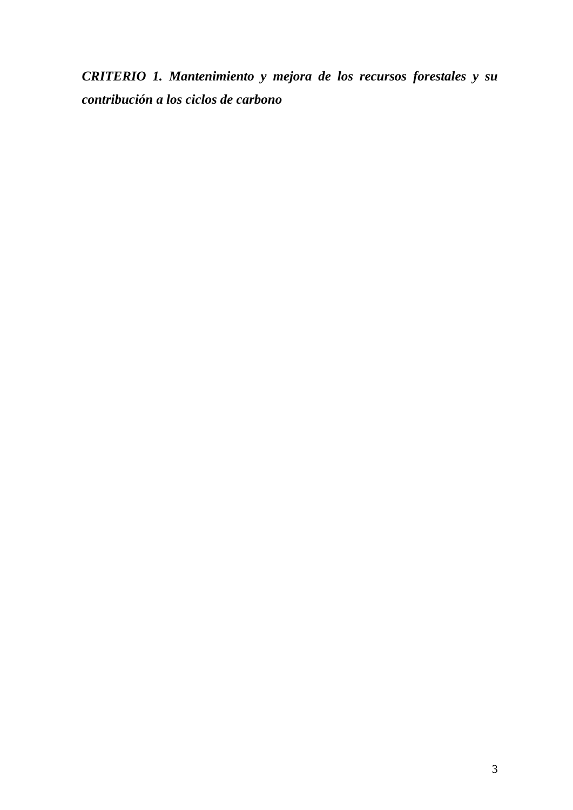*CRITERIO 1. Mantenimiento y mejora de los recursos forestales y su contribución a los ciclos de carbono*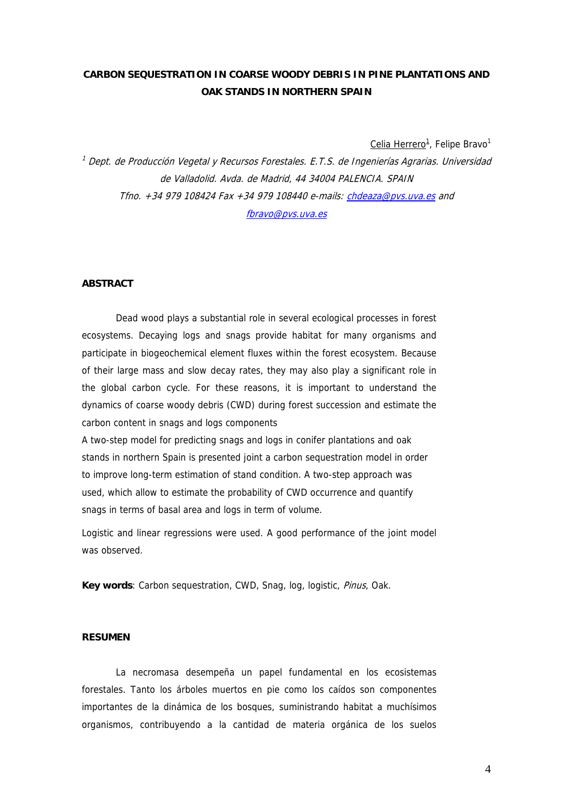# **CARBON SEQUESTRATION IN COARSE WOODY DEBRIS IN PINE PLANTATIONS AND OAK STANDS IN NORTHERN SPAIN**

Celia Herrero<sup>1</sup>, Felipe Bravo<sup>1</sup>

<sup>1</sup> Dept. de Producción Vegetal y Recursos Forestales. E.T.S. de Ingenierías Agrarias. Universidad de Valladolid. Avda. de Madrid, 44 34004 PALENCIA. SPAIN Tfno. +34 979 108424 Fax +34 979 108440 e-mails: [chdeaza@pvs.uva.es](mailto:chdeaza@pvs.uva.es) and [fbravo@pvs.uva.es](mailto:fbravo@pvs.uva.es)

### **ABSTRACT**

Dead wood plays a substantial role in several ecological processes in forest ecosystems. Decaying logs and snags provide habitat for many organisms and participate in biogeochemical element fluxes within the forest ecosystem. Because of their large mass and slow decay rates, they may also play a significant role in the global carbon cycle. For these reasons, it is important to understand the dynamics of coarse woody debris (CWD) during forest succession and estimate the carbon content in snags and logs components

A two-step model for predicting snags and logs in conifer plantations and oak stands in northern Spain is presented joint a carbon sequestration model in order to improve long-term estimation of stand condition. A two-step approach was used, which allow to estimate the probability of CWD occurrence and quantify snags in terms of basal area and logs in term of volume.

Logistic and linear regressions were used. A good performance of the joint model was observed.

**Key words**: Carbon sequestration, CWD, Snag, log, logistic, Pinus, Oak.

# **RESUMEN**

La necromasa desempeña un papel fundamental en los ecosistemas forestales. Tanto los árboles muertos en pie como los caídos son componentes importantes de la dinámica de los bosques, suministrando habitat a muchísimos organismos, contribuyendo a la cantidad de materia orgánica de los suelos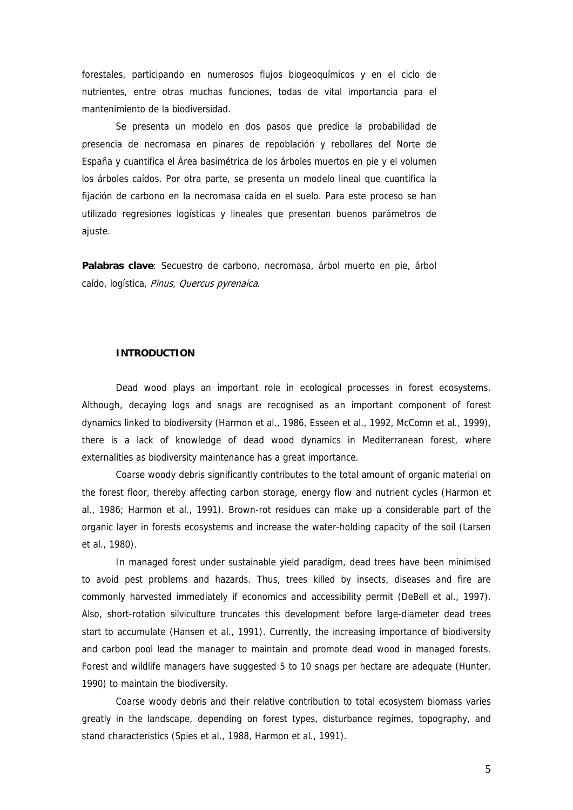forestales, participando en numerosos flujos biogeoquímicos y en el ciclo de nutrientes, entre otras muchas funciones, todas de vital importancia para el mantenimiento de la biodiversidad.

Se presenta un modelo en dos pasos que predice la probabilidad de presencia de necromasa en pinares de repoblación y rebollares del Norte de España y cuantifica el Área basimétrica de los árboles muertos en pie y el volumen los árboles caídos. Por otra parte, se presenta un modelo lineal que cuantifica la fijación de carbono en la necromasa caída en el suelo. Para este proceso se han utilizado regresiones logísticas y lineales que presentan buenos parámetros de ajuste.

**Palabras clave**: Secuestro de carbono, necromasa, árbol muerto en pie, árbol caído, logística, Pinus, Quercus pyrenaica.

# **INTRODUCTION**

Dead wood plays an important role in ecological processes in forest ecosystems. Although, decaying logs and snags are recognised as an important component of forest dynamics linked to biodiversity (Harmon et al., 1986, Esseen et al., 1992, McComn et al., 1999), there is a lack of knowledge of dead wood dynamics in Mediterranean forest, where externalities as biodiversity maintenance has a great importance.

Coarse woody debris significantly contributes to the total amount of organic material on the forest floor, thereby affecting carbon storage, energy flow and nutrient cycles (Harmon et al., 1986; Harmon et al., 1991). Brown-rot residues can make up a considerable part of the organic layer in forests ecosystems and increase the water-holding capacity of the soil (Larsen et al., 1980).

In managed forest under sustainable yield paradigm, dead trees have been minimised to avoid pest problems and hazards. Thus, trees killed by insects, diseases and fire are commonly harvested immediately if economics and accessibility permit (DeBell et al., 1997). Also, short-rotation silviculture truncates this development before large-diameter dead trees start to accumulate (Hansen et al., 1991). Currently, the increasing importance of biodiversity and carbon pool lead the manager to maintain and promote dead wood in managed forests. Forest and wildlife managers have suggested 5 to 10 snags per hectare are adequate (Hunter, 1990) to maintain the biodiversity.

Coarse woody debris and their relative contribution to total ecosystem biomass varies greatly in the landscape, depending on forest types, disturbance regimes, topography, and stand characteristics (Spies et al., 1988, Harmon et al., 1991).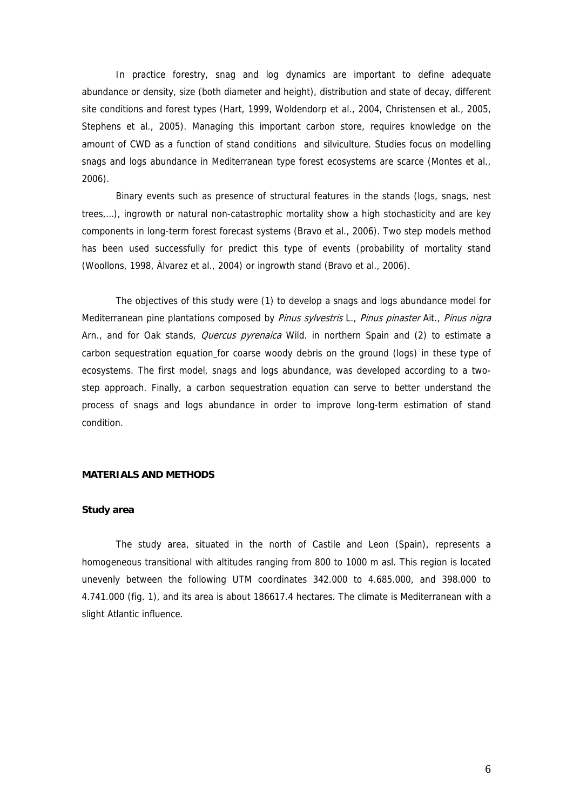In practice forestry, snag and log dynamics are important to define adequate abundance or density, size (both diameter and height), distribution and state of decay, different site conditions and forest types (Hart, 1999, Woldendorp et al., 2004, Christensen et al., 2005, Stephens et al., 2005). Managing this important carbon store, requires knowledge on the amount of CWD as a function of stand conditions and silviculture. Studies focus on modelling snags and logs abundance in Mediterranean type forest ecosystems are scarce (Montes et al., 2006).

Binary events such as presence of structural features in the stands (logs, snags, nest trees,…), ingrowth or natural non-catastrophic mortality show a high stochasticity and are key components in long-term forest forecast systems (Bravo et al., 2006). Two step models method has been used successfully for predict this type of events (probability of mortality stand (Woollons, 1998, Álvarez et al., 2004) or ingrowth stand (Bravo et al., 2006).

The objectives of this study were (1) to develop a snags and logs abundance model for Mediterranean pine plantations composed by Pinus sylvestris L., Pinus pinaster Ait., Pinus nigra Arn., and for Oak stands, *Quercus pyrenaica* Wild. in northern Spain and (2) to estimate a carbon sequestration equation for coarse woody debris on the ground (logs) in these type of ecosystems. The first model, snags and logs abundance, was developed according to a twostep approach. Finally, a carbon sequestration equation can serve to better understand the process of snags and logs abundance in order to improve long-term estimation of stand condition.

### **MATERIALS AND METHODS**

### **Study area**

The study area, situated in the north of Castile and Leon (Spain), represents a homogeneous transitional with altitudes ranging from 800 to 1000 m asl. This region is located unevenly between the following UTM coordinates 342.000 to 4.685.000, and 398.000 to 4.741.000 (fig. 1), and its area is about 186617.4 hectares. The climate is Mediterranean with a slight Atlantic influence.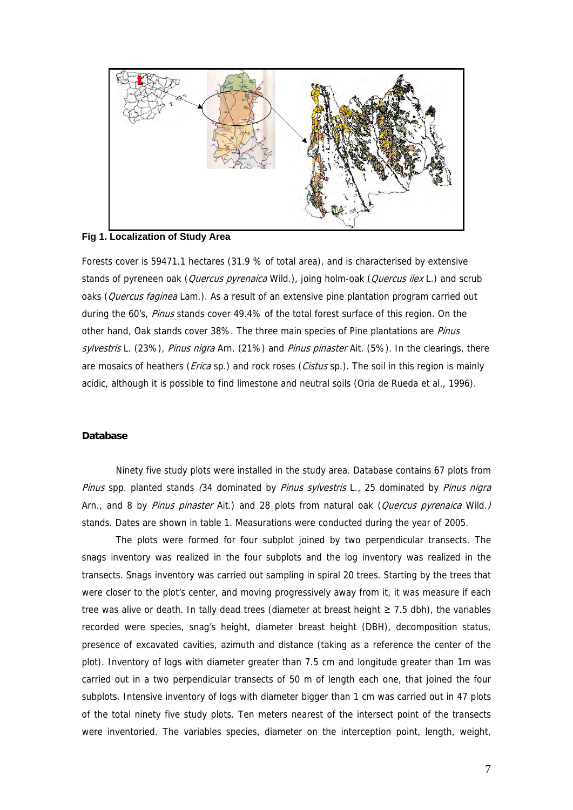

**Fig 1. Localization of Study Area** 

Forests cover is 59471.1 hectares (31.9 % of total area), and is characterised by extensive stands of pyreneen oak (*Quercus pyrenaica* Wild.), joing holm-oak (*Quercus ilex* L.) and scrub oaks (Quercus faginea Lam.). As a result of an extensive pine plantation program carried out during the 60's, Pinus stands cover 49.4% of the total forest surface of this region. On the other hand, Oak stands cover 38%. The three main species of Pine plantations are Pinus sylvestris L. (23%), Pinus nigra Arn. (21%) and Pinus pinaster Ait. (5%). In the clearings, there are mosaics of heathers (*Erica* sp.) and rock roses (*Cistus* sp.). The soil in this region is mainly acidic, although it is possible to find limestone and neutral soils (Oria de Rueda et al., 1996).

# **Database**

Ninety five study plots were installed in the study area. Database contains 67 plots from Pinus spp. planted stands (34 dominated by Pinus sylvestris L., 25 dominated by Pinus nigra Arn., and 8 by *Pinus pinaster* Ait.) and 28 plots from natural oak (*Quercus pyrenaica* Wild.) stands. Dates are shown in table 1. Measurations were conducted during the year of 2005.

The plots were formed for four subplot joined by two perpendicular transects. The snags inventory was realized in the four subplots and the log inventory was realized in the transects. Snags inventory was carried out sampling in spiral 20 trees. Starting by the trees that were closer to the plot's center, and moving progressively away from it, it was measure if each tree was alive or death. In tally dead trees (diameter at breast height ≥ 7.5 dbh), the variables recorded were species, snag's height, diameter breast height (DBH), decomposition status, presence of excavated cavities, azimuth and distance (taking as a reference the center of the plot). Inventory of logs with diameter greater than 7.5 cm and longitude greater than 1m was carried out in a two perpendicular transects of 50 m of length each one, that joined the four subplots. Intensive inventory of logs with diameter bigger than 1 cm was carried out in 47 plots of the total ninety five study plots. Ten meters nearest of the intersect point of the transects were inventoried. The variables species, diameter on the interception point, length, weight,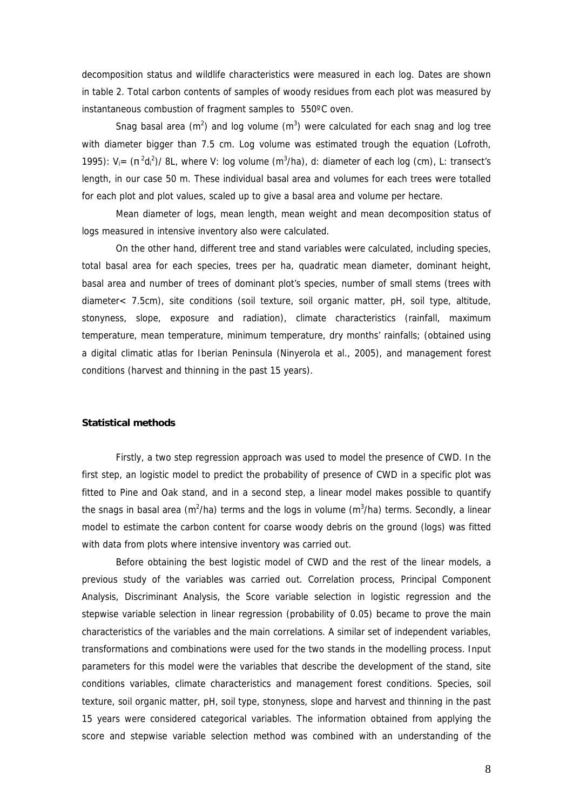decomposition status and wildlife characteristics were measured in each log. Dates are shown in table 2. Total carbon contents of samples of woody residues from each plot was measured by instantaneous combustion of fragment samples to 550ºC oven.

Snag basal area ( $m^2$ ) and log volume ( $m^3$ ) were calculated for each snag and log tree with diameter bigger than 7.5 cm. Log volume was estimated trough the equation (Lofroth, 1995):  $V_i = (\pi^2 d_i^2)/8L$ , where V: log volume (m<sup>3</sup>/ha), d: diameter of each log (cm), L: transect's length, in our case 50 m. These individual basal area and volumes for each trees were totalled for each plot and plot values, scaled up to give a basal area and volume per hectare.

Mean diameter of logs, mean length, mean weight and mean decomposition status of logs measured in intensive inventory also were calculated.

On the other hand, different tree and stand variables were calculated, including species, total basal area for each species, trees per ha, quadratic mean diameter, dominant height, basal area and number of trees of dominant plot's species, number of small stems (trees with diameter< 7.5cm), site conditions (soil texture, soil organic matter, pH, soil type, altitude, stonyness, slope, exposure and radiation), climate characteristics (rainfall, maximum temperature, mean temperature, minimum temperature, dry months' rainfalls; (obtained using a digital climatic atlas for Iberian Peninsula (Ninyerola et al., 2005), and management forest conditions (harvest and thinning in the past 15 years).

### **Statistical methods**

Firstly, a two step regression approach was used to model the presence of CWD. In the first step, an logistic model to predict the probability of presence of CWD in a specific plot was fitted to Pine and Oak stand, and in a second step, a linear model makes possible to quantify the snags in basal area (m<sup>2</sup>/ha) terms and the logs in volume (m<sup>3</sup>/ha) terms. Secondly, a linear model to estimate the carbon content for coarse woody debris on the ground (logs) was fitted with data from plots where intensive inventory was carried out.

Before obtaining the best logistic model of CWD and the rest of the linear models, a previous study of the variables was carried out. Correlation process, Principal Component Analysis, Discriminant Analysis, the Score variable selection in logistic regression and the stepwise variable selection in linear regression (probability of 0.05) became to prove the main characteristics of the variables and the main correlations. A similar set of independent variables, transformations and combinations were used for the two stands in the modelling process. Input parameters for this model were the variables that describe the development of the stand, site conditions variables, climate characteristics and management forest conditions. Species, soil texture, soil organic matter, pH, soil type, stonyness, slope and harvest and thinning in the past 15 years were considered categorical variables. The information obtained from applying the score and stepwise variable selection method was combined with an understanding of the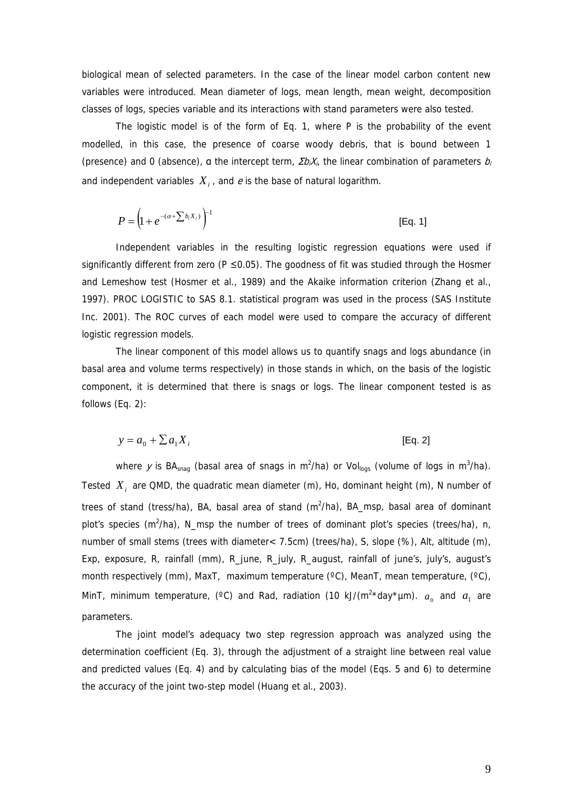biological mean of selected parameters. In the case of the linear model carbon content new variables were introduced. Mean diameter of logs, mean length, mean weight, decomposition classes of logs, species variable and its interactions with stand parameters were also tested.

The logistic model is of the form of Eq. 1, where P is the probability of the event modelled, in this case, the presence of coarse woody debris, that is bound between 1 (presence) and 0 (absence), a the intercept term,  $\Sigma b_i X_i$ , the linear combination of parameters  $b_i$ and independent variables  $X_i$ , and  $e$  is the base of natural logarithm.

$$
P = \left(1 + e^{-(\alpha + \sum b_i X_i)}\right)^{-1}
$$
 [Eq. 1]

Independent variables in the resulting logistic regression equations were used if significantly different from zero ( $P \le 0.05$ ). The goodness of fit was studied through the Hosmer and Lemeshow test (Hosmer et al., 1989) and the Akaike information criterion (Zhang et al., 1997). PROC LOGISTIC to SAS 8.1. statistical program was used in the process (SAS Institute Inc. 2001). The ROC curves of each model were used to compare the accuracy of different logistic regression models.

The linear component of this model allows us to quantify snags and logs abundance (in basal area and volume terms respectively) in those stands in which, on the basis of the logistic component, it is determined that there is snags or logs. The linear component tested is as follows (Eq. 2):

$$
y = a_0 + \sum a_i X_i
$$
 [Eq. 2]

where y is BA<sub>snag</sub> (basal area of snags in m<sup>2</sup>/ha) or Vol<sub>logs</sub> (volume of logs in m<sup>3</sup>/ha). Tested  $X_i$  are QMD, the quadratic mean diameter (m), Ho, dominant height (m), N number of trees of stand (tress/ha), BA, basal area of stand  $(m^2/ha)$ , BA\_msp, basal area of dominant plot's species (m<sup>2</sup>/ha), N\_msp the number of trees of dominant plot's species (trees/ha), n, number of small stems (trees with diameter< 7.5cm) (trees/ha), S, slope (%), Alt, altitude (m), Exp, exposure, R, rainfall (mm), R\_june, R\_july, R\_august, rainfall of june's, july's, august's month respectively (mm), MaxT, maximum temperature (°C), MeanT, mean temperature, (°C), MinT, minimum temperature, (°C) and Rad, radiation (10 kJ/(m<sup>2</sup>\*day\*µm).  $a_0$  and  $a_1$  are parameters.

The joint model's adequacy two step regression approach was analyzed using the determination coefficient (Eq. 3), through the adjustment of a straight line between real value and predicted values (Eq. 4) and by calculating bias of the model (Eqs. 5 and 6) to determine the accuracy of the joint two-step model (Huang et al., 2003).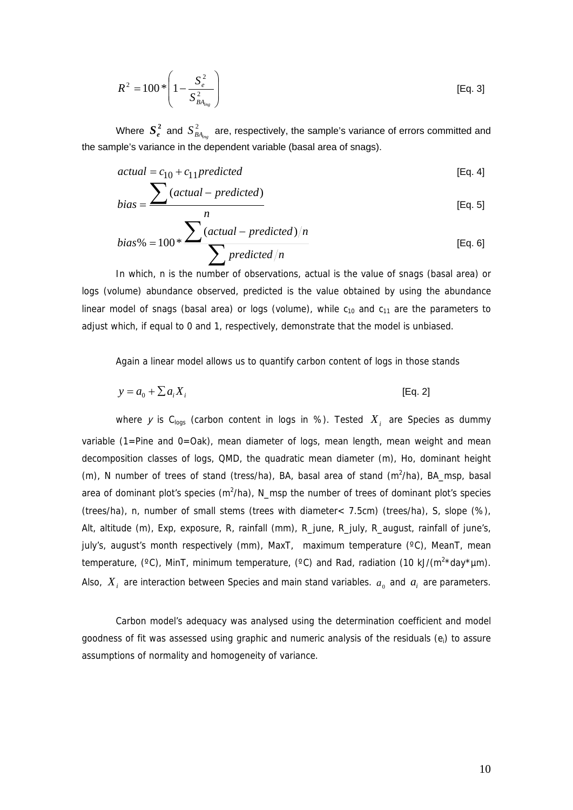$$
R^{2} = 100 * \left(1 - \frac{S_{e}^{2}}{S_{BA_{\text{log}}}}\right)
$$
 [Eq. 3]

Where  $S_e^2$  and  $S_{BA_{ing}}^2$  are, respectively, the sample's variance of errors committed and the sample's variance in the dependent variable (basal area of snags).

$$
actual = c_{10} + c_{11} predicted
$$
 [Eq. 4]

$$
bias = \frac{\sum (actual-predicted)}{n}
$$
 [Eq. 5]

bias% = 
$$
100 \times \frac{\sum (actual-predicted)/n}{\sum predicted/n}
$$
 [Eq. 6]

In which, n is the number of observations, actual is the value of snags (basal area) or logs (volume) abundance observed, predicted is the value obtained by using the abundance linear model of snags (basal area) or logs (volume), while  $c_{10}$  and  $c_{11}$  are the parameters to adjust which, if equal to 0 and 1, respectively, demonstrate that the model is unbiased.

Again a linear model allows us to quantify carbon content of logs in those stands

$$
y = a_0 + \sum a_i X_i
$$
 [Eq. 2]

where y is C<sub>logs</sub> (carbon content in logs in %). Tested  $X_i$  are Species as dummy variable (1=Pine and 0=Oak), mean diameter of logs, mean length, mean weight and mean decomposition classes of logs, QMD, the quadratic mean diameter (m), Ho, dominant height  $(m)$ , N number of trees of stand (tress/ha), BA, basal area of stand  $(m^2/ha)$ , BA\_msp, basal area of dominant plot's species  $(m^2/ha)$ , N\_msp the number of trees of dominant plot's species (trees/ha), n, number of small stems (trees with diameter< 7.5cm) (trees/ha), S, slope (%), Alt, altitude (m), Exp, exposure, R, rainfall (mm), R\_june, R\_july, R\_august, rainfall of june's, july's, august's month respectively (mm), MaxT, maximum temperature (°C), MeanT, mean temperature,  $(^{\circ}C)$ , MinT, minimum temperature,  $(^{\circ}C)$  and Rad, radiation (10 kJ/ $(^{2*}$ day\*µm). Also,  $X_i$  are interaction between Species and main stand variables.  $a_0$  and  $a_i$  are parameters.

Carbon model's adequacy was analysed using the determination coefficient and model goodness of fit was assessed using graphic and numeric analysis of the residuals (ei) to assure assumptions of normality and homogeneity of variance.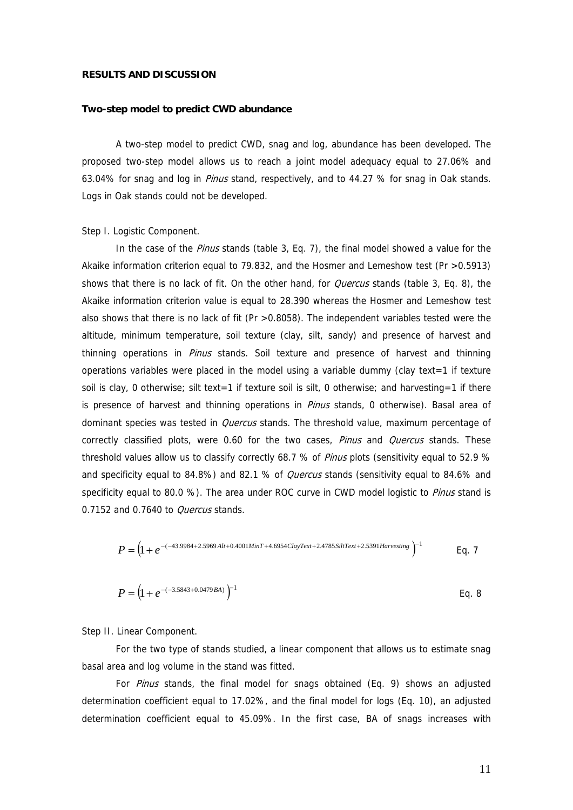# **RESULTS AND DISCUSSION**

### **Two-step model to predict CWD abundance**

A two-step model to predict CWD, snag and log, abundance has been developed. The proposed two-step model allows us to reach a joint model adequacy equal to 27.06% and 63.04% for snag and log in *Pinus* stand, respectively, and to 44.27 % for snag in Oak stands. Logs in Oak stands could not be developed.

Step I. Logistic Component.

In the case of the *Pinus* stands (table 3, Eq. 7), the final model showed a value for the Akaike information criterion equal to 79.832, and the Hosmer and Lemeshow test (Pr >0.5913) shows that there is no lack of fit. On the other hand, for *Quercus* stands (table 3, Eq. 8), the Akaike information criterion value is equal to 28.390 whereas the Hosmer and Lemeshow test also shows that there is no lack of fit (Pr >0.8058). The independent variables tested were the altitude, minimum temperature, soil texture (clay, silt, sandy) and presence of harvest and thinning operations in *Pinus* stands. Soil texture and presence of harvest and thinning operations variables were placed in the model using a variable dummy (clay text=1 if texture soil is clay, 0 otherwise; silt text=1 if texture soil is silt, 0 otherwise; and harvesting=1 if there is presence of harvest and thinning operations in *Pinus* stands, 0 otherwise). Basal area of dominant species was tested in *Quercus* stands. The threshold value, maximum percentage of correctly classified plots, were 0.60 for the two cases, Pinus and Quercus stands. These threshold values allow us to classify correctly 68.7 % of Pinus plots (sensitivity equal to 52.9 % and specificity equal to 84.8%) and 82.1 % of *Quercus* stands (sensitivity equal to 84.6% and specificity equal to 80.0 %). The area under ROC curve in CWD model logistic to *Pinus* stand is 0.7152 and 0.7640 to *Quercus* stands.

$$
P = (1 + e^{-(43.9984 + 2.5969 \text{ Al }t + 0.4001 \text{Min }T + 4.6954 \text{Clay} \text{Text} + 2.4785 \text{Si} \text{if } \text{Text} + 2.5391 \text{Harvesting})^{-1}
$$
 Eq. 7

$$
P = (1 + e^{-(-3.5843 + 0.0479BA)})^{-1}
$$
 Eq. 8

Step II. Linear Component.

For the two type of stands studied, a linear component that allows us to estimate snag basal area and log volume in the stand was fitted.

For Pinus stands, the final model for snags obtained (Eq. 9) shows an adjusted determination coefficient equal to 17.02%, and the final model for logs (Eq. 10), an adjusted determination coefficient equal to 45.09%. In the first case, BA of snags increases with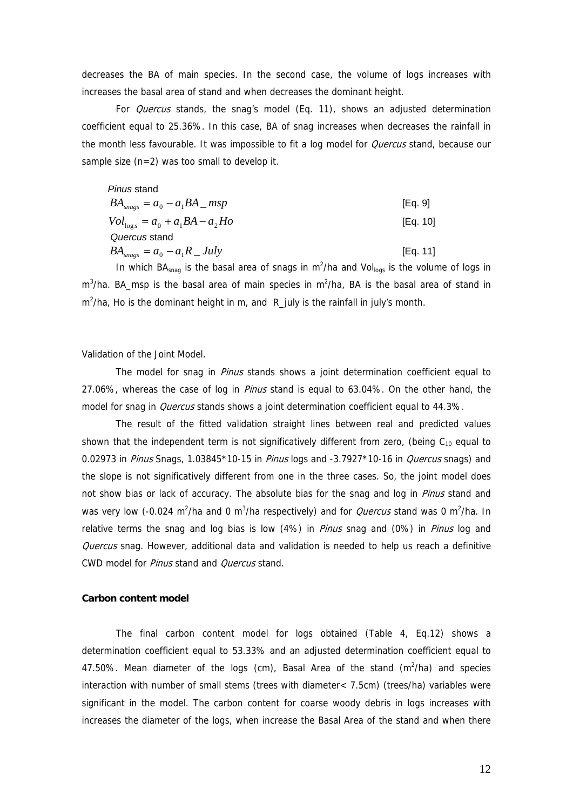decreases the BA of main species. In the second case, the volume of logs increases with increases the basal area of stand and when decreases the dominant height.

For *Quercus* stands, the snag's model (Eq. 11), shows an adjusted determination coefficient equal to 25.36%. In this case, BA of snag increases when decreases the rainfall in the month less favourable. It was impossible to fit a log model for *Quercus* stand, because our sample size (n=2) was too small to develop it.

*Pinus* stand

| $BA_{\text{s}} = a_0 - a_1 BA$ _ msp        | [Eq. 9]  |
|---------------------------------------------|----------|
| $Vol_{\log s} = a_0 + a_1 BA - a_2 Ho$      | [Eq. 10] |
| Quercus stand                               |          |
| $BA_{\text{snaes}} = a_0 - a_1 R \_J u l y$ | [Eq. 11] |

In which BA<sub>snag</sub> is the basal area of snags in  $m^2/ha$  and Vol<sub>logs</sub> is the volume of logs in  $m<sup>3</sup>/ha$ . BA\_msp is the basal area of main species in  $m<sup>2</sup>/ha$ , BA is the basal area of stand in  $m^2/ha$ , Ho is the dominant height in m, and R july is the rainfall in july's month.

Validation of the Joint Model.

The model for snag in *Pinus* stands shows a joint determination coefficient equal to 27.06%, whereas the case of log in *Pinus* stand is equal to 63.04%. On the other hand, the model for snag in *Quercus* stands shows a joint determination coefficient equal to 44.3%.

The result of the fitted validation straight lines between real and predicted values shown that the independent term is not significatively different from zero, (being  $C_{10}$  equal to 0.02973 in *Pinus* Snags, 1.03845\*10-15 in *Pinus* logs and -3.7927\*10-16 in *Quercus* snags) and the slope is not significatively different from one in the three cases. So, the joint model does not show bias or lack of accuracy. The absolute bias for the snag and log in *Pinus* stand and was very low (-0.024 m<sup>2</sup>/ha and 0 m<sup>3</sup>/ha respectively) and for *Quercus* stand was 0 m<sup>2</sup>/ha. In relative terms the snag and log bias is low (4%) in *Pinus* snag and (0%) in *Pinus* log and Quercus snag. However, additional data and validation is needed to help us reach a definitive CWD model for Pinus stand and Quercus stand.

# **Carbon content model**

The final carbon content model for logs obtained (Table 4, Eq.12) shows a determination coefficient equal to 53.33% and an adjusted determination coefficient equal to 47.50%. Mean diameter of the logs (cm), Basal Area of the stand  $(m^2/ha)$  and species interaction with number of small stems (trees with diameter< 7.5cm) (trees/ha) variables were significant in the model. The carbon content for coarse woody debris in logs increases with increases the diameter of the logs, when increase the Basal Area of the stand and when there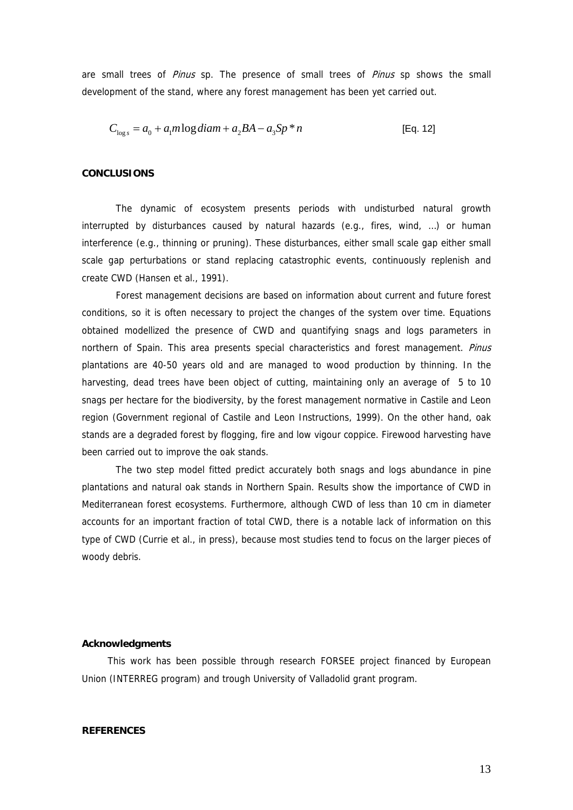are small trees of Pinus sp. The presence of small trees of Pinus sp shows the small development of the stand, where any forest management has been yet carried out.

$$
C_{\log s} = a_0 + a_1 m \log diam + a_2 BA - a_3 Sp * n
$$
 [Eq. 12]

### **CONCLUSIONS**

The dynamic of ecosystem presents periods with undisturbed natural growth interrupted by disturbances caused by natural hazards (e.g., fires, wind, …) or human interference (e.g., thinning or pruning). These disturbances, either small scale gap either small scale gap perturbations or stand replacing catastrophic events, continuously replenish and create CWD (Hansen et al., 1991).

Forest management decisions are based on information about current and future forest conditions, so it is often necessary to project the changes of the system over time. Equations obtained modellized the presence of CWD and quantifying snags and logs parameters in northern of Spain. This area presents special characteristics and forest management. Pinus plantations are 40-50 years old and are managed to wood production by thinning. In the harvesting, dead trees have been object of cutting, maintaining only an average of 5 to 10 snags per hectare for the biodiversity, by the forest management normative in Castile and Leon region (Government regional of Castile and Leon Instructions, 1999). On the other hand, oak stands are a degraded forest by flogging, fire and low vigour coppice. Firewood harvesting have been carried out to improve the oak stands.

The two step model fitted predict accurately both snags and logs abundance in pine plantations and natural oak stands in Northern Spain. Results show the importance of CWD in Mediterranean forest ecosystems. Furthermore, although CWD of less than 10 cm in diameter accounts for an important fraction of total CWD, there is a notable lack of information on this type of CWD (Currie et al., in press), because most studies tend to focus on the larger pieces of woody debris.

### **Acknowledgments**

This work has been possible through research FORSEE project financed by European Union (INTERREG program) and trough University of Valladolid grant program.

# **REFERENCES**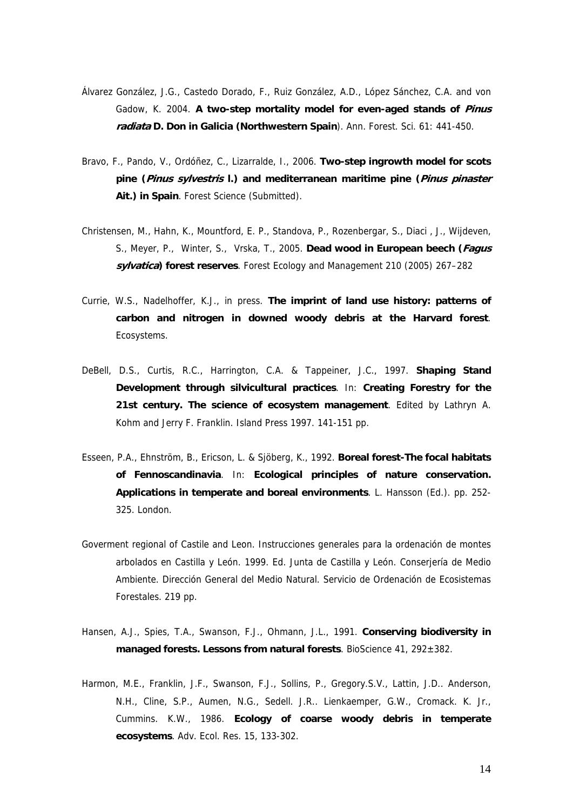- Álvarez González, J.G., Castedo Dorado, F., Ruiz González, A.D., López Sánchez, C.A. and von Gadow, K. 2004. **A two-step mortality model for even-aged stands of Pinus radiata D. Don in Galicia (Northwestern Spain**). Ann. Forest. Sci. 61: 441-450.
- Bravo, F., Pando, V., Ordóñez, C., Lizarralde, I., 2006. **Two-step ingrowth model for scots pine (Pinus sylvestris l.) and mediterranean maritime pine (Pinus pinaster Ait.) in Spain**. Forest Science (Submitted).
- Christensen, M., Hahn, K., Mountford, E. P., Standova, P., Rozenbergar, S., Diaci , J., Wijdeven, S., Meyer, P., Winter, S., Vrska, T., 2005. **Dead wood in European beech (Fagus sylvatica) forest reserves**. Forest Ecology and Management 210 (2005) 267–282
- Currie, W.S., Nadelhoffer, K.J., in press. **The imprint of land use history: patterns of carbon and nitrogen in downed woody debris at the Harvard forest**. Ecosystems.
- DeBell, D.S., Curtis, R.C., Harrington, C.A. & Tappeiner, J.C., 1997. **Shaping Stand Development through silvicultural practices**. In: **Creating Forestry for the 21st century. The science of ecosystem management**. Edited by Lathryn A. Kohm and Jerry F. Franklin. Island Press 1997. 141-151 pp.
- Esseen, P.A., Ehnström, B., Ericson, L. & Sjöberg, K., 1992. **Boreal forest-The focal habitats of Fennoscandinavia**. In: **Ecological principles of nature conservation. Applications in temperate and boreal environments**. L. Hansson (Ed.). pp. 252- 325. London.
- Goverment regional of Castile and Leon. Instrucciones generales para la ordenación de montes arbolados en Castilla y León. 1999. Ed. Junta de Castilla y León. Conserjería de Medio Ambiente. Dirección General del Medio Natural. Servicio de Ordenación de Ecosistemas Forestales. 219 pp.
- Hansen, A.J., Spies, T.A., Swanson, F.J., Ohmann, J.L., 1991. **Conserving biodiversity in managed forests. Lessons from natural forests**. BioScience 41, 292±382.
- Harmon, M.E., Franklin, J.F., Swanson, F.J., Sollins, P., Gregory.S.V., Lattin, J.D.. Anderson, N.H., Cline, S.P., Aumen, N.G., Sedell. J.R.. Lienkaemper, G.W., Cromack. K. Jr., Cummins. K.W., 1986. **Ecology of coarse woody debris in temperate ecosystems**. Adv. Ecol. Res. 15, 133-302.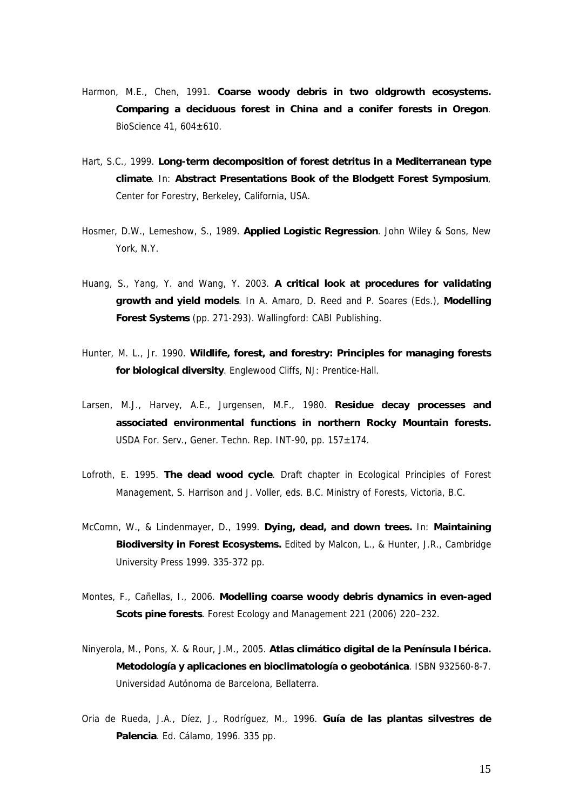- Harmon, M.E., Chen, 1991. **Coarse woody debris in two oldgrowth ecosystems. Comparing a deciduous forest in China and a conifer forests in Oregon**. BioScience  $41,604\pm610$ .
- Hart, S.C., 1999. **Long-term decomposition of forest detritus in a Mediterranean type climate**. In: **Abstract Presentations Book of the Blodgett Forest Symposium**, Center for Forestry, Berkeley, California, USA.
- Hosmer, D.W., Lemeshow, S., 1989. **Applied Logistic Regression**. John Wiley & Sons, New York, N.Y.
- Huang, S., Yang, Y. and Wang, Y. 2003. **A critical look at procedures for validating growth and yield models**. In A. Amaro, D. Reed and P. Soares (Eds.), **Modelling Forest Systems** (pp. 271-293). Wallingford: CABI Publishing.
- Hunter, M. L., Jr. 1990. **Wildlife, forest, and forestry: Principles for managing forests for biological diversity**. Englewood Cliffs, NJ: Prentice-Hall.
- Larsen, M.J., Harvey, A.E., Jurgensen, M.F., 1980. **Residue decay processes and associated environmental functions in northern Rocky Mountain forests.** USDA For. Serv., Gener. Techn. Rep. INT-90, pp. 157±174.
- Lofroth, E. 1995. **The dead wood cycle**. Draft chapter in Ecological Principles of Forest Management, S. Harrison and J. Voller, eds. B.C. Ministry of Forests, Victoria, B.C.
- McComn, W., & Lindenmayer, D., 1999. **Dying, dead, and down trees.** In: **Maintaining Biodiversity in Forest Ecosystems.** Edited by Malcon, L., & Hunter, J.R., Cambridge University Press 1999. 335-372 pp.
- Montes, F., Cañellas, I., 2006. **Modelling coarse woody debris dynamics in even-aged Scots pine forests**. Forest Ecology and Management 221 (2006) 220–232.
- Ninyerola, M., Pons, X. & Rour, J.M., 2005. **Atlas climático digital de la Península Ibérica. Metodología y aplicaciones en bioclimatología o geobotánica**. ISBN 932560-8-7. Universidad Autónoma de Barcelona, Bellaterra.
- Oria de Rueda, J.A., Díez, J., Rodríguez, M., 1996. **Guía de las plantas silvestres de Palencia**. Ed. Cálamo, 1996. 335 pp.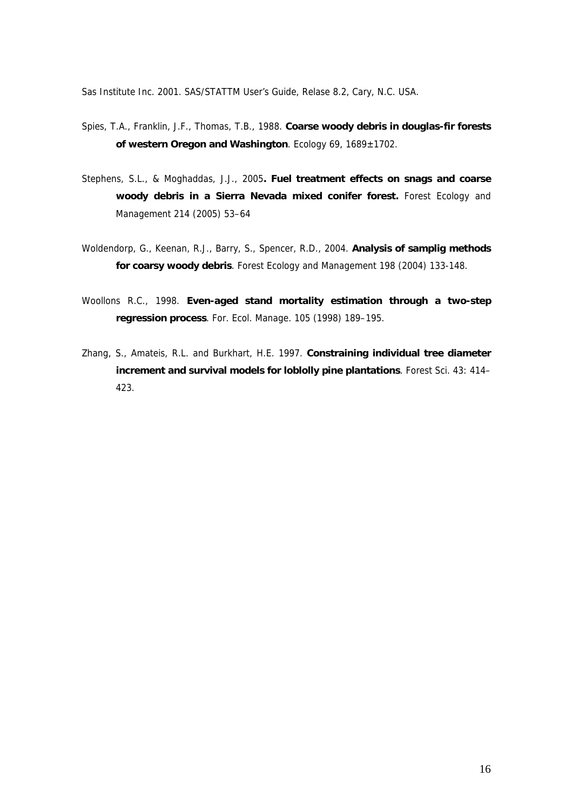Sas Institute Inc. 2001. SAS/STATTM User's Guide, Relase 8.2, Cary, N.C. USA.

- Spies, T.A., Franklin, J.F., Thomas, T.B., 1988. **Coarse woody debris in douglas-fir forests of western Oregon and Washington**. Ecology 69, 1689±1702.
- Stephens, S.L., & Moghaddas, J.J., 2005**. Fuel treatment effects on snags and coarse woody debris in a Sierra Nevada mixed conifer forest.** Forest Ecology and Management 214 (2005) 53–64
- Woldendorp, G., Keenan, R.J., Barry, S., Spencer, R.D., 2004. **Analysis of samplig methods for coarsy woody debris**. Forest Ecology and Management 198 (2004) 133-148.
- Woollons R.C., 1998. **Even-aged stand mortality estimation through a two-step regression process**. For. Ecol. Manage. 105 (1998) 189–195.
- Zhang, S., Amateis, R.L. and Burkhart, H.E. 1997. **Constraining individual tree diameter increment and survival models for loblolly pine plantations**. Forest Sci. 43: 414– 423.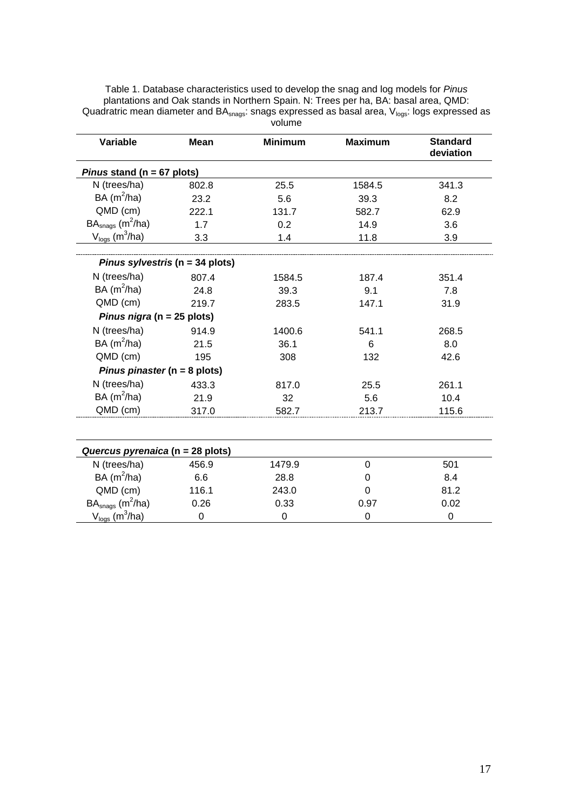| <b>Variable</b>                        | <b>Mean</b> | <b>Minimum</b><br><b>Maximum</b> |             | <b>Standard</b><br>deviation |
|----------------------------------------|-------------|----------------------------------|-------------|------------------------------|
| Pinus stand ( $n = 67$ plots)          |             |                                  |             |                              |
| N (trees/ha)                           | 802.8       | 25.5                             | 1584.5      | 341.3                        |
| BA $(m^2/ha)$                          | 23.2        | 5.6                              | 39.3        | 8.2                          |
| QMD (cm)                               | 222.1       | 131.7                            | 582.7       | 62.9                         |
| $BAsnags$ (m <sup>2</sup> /ha)         | 1.7         | 0.2                              | 14.9        | 3.6                          |
| $V_{\text{logs}}$ (m <sup>3</sup> /ha) | 3.3         | 1.4                              | 11.8        | 3.9                          |
| Pinus sylvestris ( $n = 34$ plots)     |             |                                  |             |                              |
| N (trees/ha)                           | 807.4       | 1584.5                           | 187.4       | 351.4                        |
| BA $(m^2/ha)$                          | 24.8        | 39.3                             | 9.1         | 7.8                          |
| QMD (cm)                               | 219.7       | 283.5                            | 147.1       | 31.9                         |
| Pinus nigra (n = 25 plots)             |             |                                  |             |                              |
| N (trees/ha)                           | 914.9       | 1400.6                           | 541.1       | 268.5                        |
| BA $(m^2/ha)$                          | 21.5        | 36.1                             | 6           | 8.0                          |
| QMD (cm)                               | 195         | 308                              | 132         | 42.6                         |
| Pinus pinaster ( $n = 8$ plots)        |             |                                  |             |                              |
| N (trees/ha)                           | 433.3       | 817.0                            | 25.5        | 261.1                        |
| BA $(m^2/ha)$                          | 21.9        | 32                               | 5.6         | 10.4                         |
| QMD (cm)                               | 317.0       | 582.7                            | 213.7       | 115.6                        |
| Quercus pyrenaica (n = 28 plots)       |             |                                  |             |                              |
| N (trees/ha)                           | 456.9       | 1479.9                           | $\mathbf 0$ | 501                          |
| BA $(m^2/ha)$                          | 6.6         | 28.8                             | 0           | 8.4                          |
| QMD (cm)                               | 116.1       | 243.0                            | 0           | 81.2                         |
| $BAsnags$ (m <sup>2</sup> /ha)         | 0.26        | 0.33                             | 0.97        | 0.02                         |
| $V_{\text{logs}}$ (m <sup>3</sup> /ha) | $\mathbf 0$ | $\mathbf 0$                      | $\mathbf 0$ | $\mathbf 0$                  |

Table 1. Database characteristics used to develop the snag and log models for *Pinus* plantations and Oak stands in Northern Spain. N: Trees per ha, BA: basal area, QMD: Quadratric mean diameter and  $BA_{\text{snags}}$ : snags expressed as basal area,  $V_{\text{logs}}$ : logs expressed as volume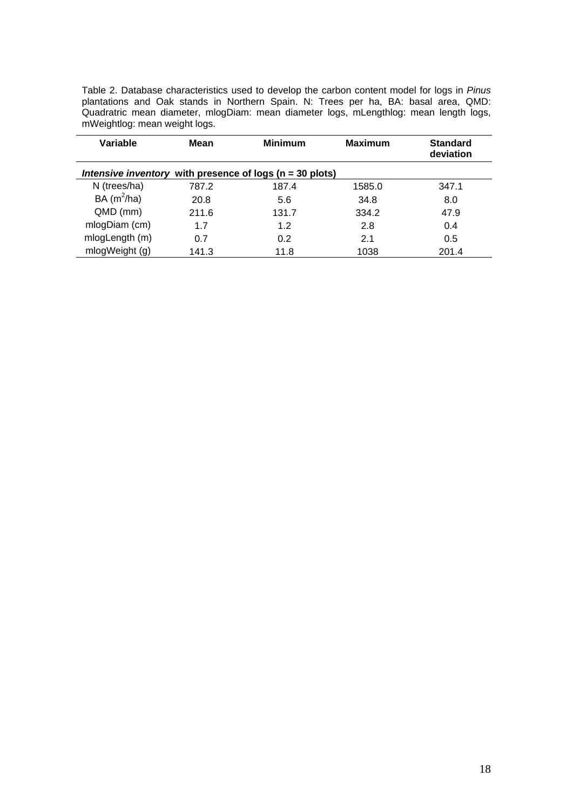Table 2. Database characteristics used to develop the carbon content model for logs in *Pinus* plantations and Oak stands in Northern Spain. N: Trees per ha, BA: basal area, QMD: Quadratric mean diameter, mlogDiam: mean diameter logs, mLengthlog: mean length logs, mWeightlog: mean weight logs.

| Variable       | Mean  | <b>Minimum</b>                                              | <b>Maximum</b> | <b>Standard</b><br>deviation |
|----------------|-------|-------------------------------------------------------------|----------------|------------------------------|
|                |       | Intensive inventory with presence of logs ( $n = 30$ plots) |                |                              |
| N (trees/ha)   | 787.2 | 187.4                                                       | 1585.0         | 347.1                        |
| BA $(m^2/ha)$  | 20.8  | 5.6                                                         | 34.8           | 8.0                          |
| QMD (mm)       | 211.6 | 131.7                                                       | 334.2          | 47.9                         |
| mlogDiam (cm)  | 1.7   | 1.2                                                         | 2.8            | 0.4                          |
| mlogLength (m) | 0.7   | 0.2                                                         | 2.1            | 0.5                          |
| mlogWeight (g) | 141.3 | 11.8                                                        | 1038           | 201.4                        |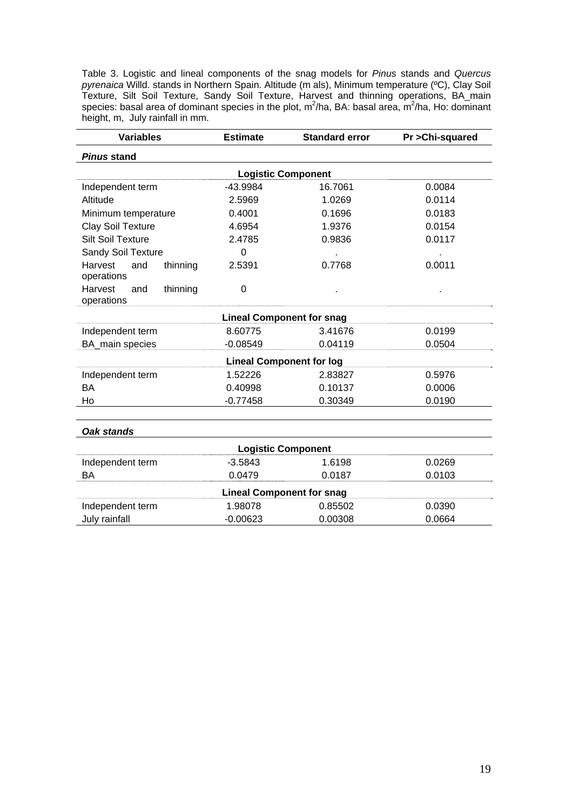Table 3. Logistic and lineal components of the snag models for *Pinus* stands and *Quercus pyrenaica* Willd. stands in Northern Spain. Altitude (m als), Minimum temperature (ºC), Clay Soil Texture, Silt Soil Texture, Sandy Soil Texture, Harvest and thinning operations, BA\_main species: basal area of dominant species in the plot,  $m^2/ha$ , BA: basal area,  $m^2/ha$ , Ho: dominant height, m, July rainfall in mm.

| <b>Variables</b>                                | <b>Estimate</b> | <b>Standard error</b>            | Pr > Chi-squared |  |  |  |  |  |  |
|-------------------------------------------------|-----------------|----------------------------------|------------------|--|--|--|--|--|--|
| <b>Pinus stand</b>                              |                 |                                  |                  |  |  |  |  |  |  |
| <b>Logistic Component</b>                       |                 |                                  |                  |  |  |  |  |  |  |
| Independent term                                | -43.9984        | 16.7061                          | 0.0084           |  |  |  |  |  |  |
| Altitude                                        | 2.5969          | 1.0269                           | 0.0114           |  |  |  |  |  |  |
| Minimum temperature                             | 0.4001          | 0.1696                           | 0.0183           |  |  |  |  |  |  |
| <b>Clay Soil Texture</b>                        | 4.6954          | 1.9376                           | 0.0154           |  |  |  |  |  |  |
| <b>Silt Soil Texture</b>                        | 2.4785          | 0.9836                           | 0.0117           |  |  |  |  |  |  |
| Sandy Soil Texture                              | 0               |                                  |                  |  |  |  |  |  |  |
| Harvest<br>and<br>thinning<br>operations        | 2.5391          | 0.7768                           | 0.0011           |  |  |  |  |  |  |
| <b>Harvest</b><br>thinning<br>and<br>operations | 0               |                                  |                  |  |  |  |  |  |  |
|                                                 |                 | <b>Lineal Component for snag</b> |                  |  |  |  |  |  |  |
| Independent term                                | 8.60775         | 3.41676                          | 0.0199           |  |  |  |  |  |  |
| BA_main species                                 | $-0.08549$      | 0.04119                          | 0.0504           |  |  |  |  |  |  |
|                                                 |                 | <b>Lineal Component for log</b>  |                  |  |  |  |  |  |  |
| Independent term                                | 1.52226         | 2.83827                          | 0.5976           |  |  |  |  |  |  |
| <b>BA</b>                                       | 0.40998         | 0.10137                          | 0.0006           |  |  |  |  |  |  |
| Ho                                              | $-0.77458$      | 0.30349                          | 0.0190           |  |  |  |  |  |  |
| Oak stands                                      |                 |                                  |                  |  |  |  |  |  |  |
|                                                 |                 | <b>Logistic Component</b>        |                  |  |  |  |  |  |  |
| Independent term                                | $-3.5843$       | 1.6198                           | 0.0269           |  |  |  |  |  |  |
| BA                                              | 0.0479          | 0.0187                           | 0.0103           |  |  |  |  |  |  |
|                                                 |                 | <b>Lineal Component for snag</b> |                  |  |  |  |  |  |  |
| Independent term                                | 1.98078         | 0.85502                          | 0.0390           |  |  |  |  |  |  |
| July rainfall                                   | $-0.00623$      | 0.00308                          | 0.0664           |  |  |  |  |  |  |
|                                                 |                 |                                  |                  |  |  |  |  |  |  |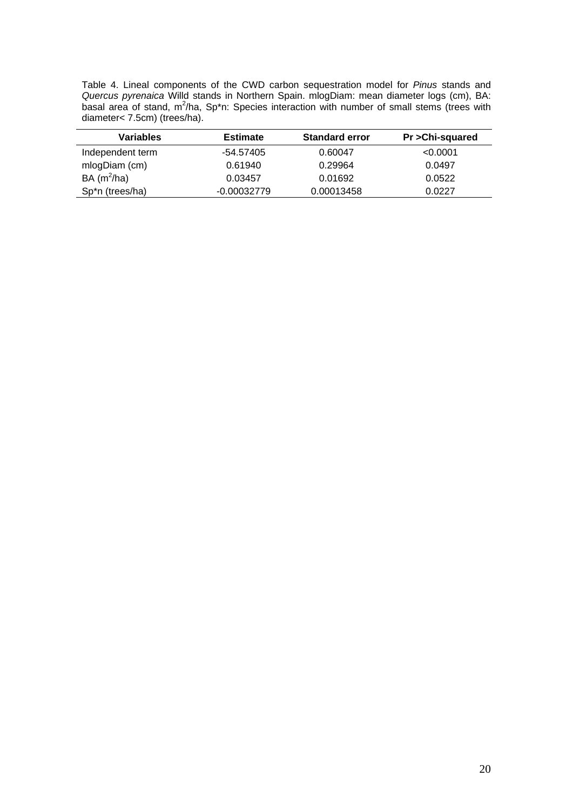Table 4. Lineal components of the CWD carbon sequestration model for *Pinus* stands and *Quercus pyrenaica* Willd stands in Northern Spain. mlogDiam: mean diameter logs (cm), BA: basal area of stand, m<sup>2</sup>/ha, Sp\*n: Species interaction with number of small stems (trees with diameter< 7.5cm) (trees/ha).

| Variables                    | <b>Estimate</b> | <b>Standard error</b> | Pr > Chi-squared |
|------------------------------|-----------------|-----------------------|------------------|
| Independent term             | -54.57405       | 0.60047               | < 0.0001         |
| mlogDiam (cm)                | 0.61940         | 0.29964               | 0.0497           |
| BA $(m^2/ha)$                | 0.03457         | 0.01692               | 0.0522           |
| Sp <sup>*</sup> n (trees/ha) | $-0.00032779$   | 0.00013458            | 0.0227           |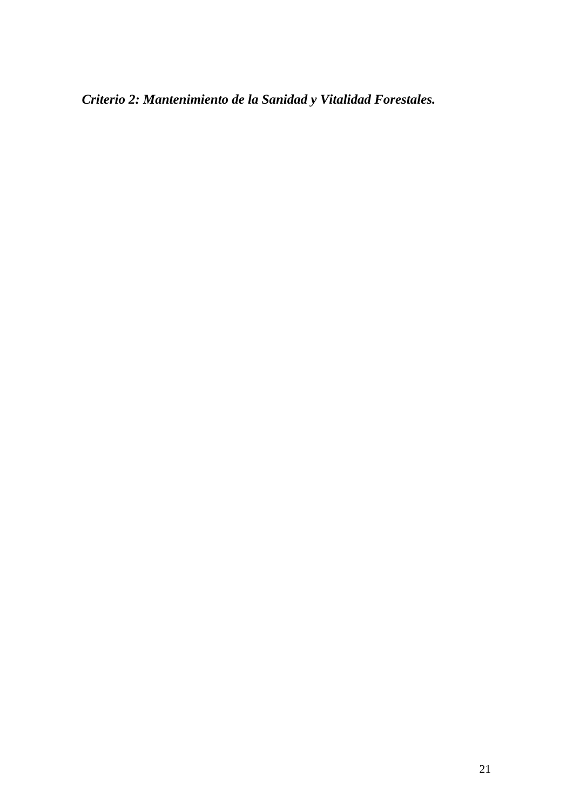*Criterio 2: Mantenimiento de la Sanidad y Vitalidad Forestales.*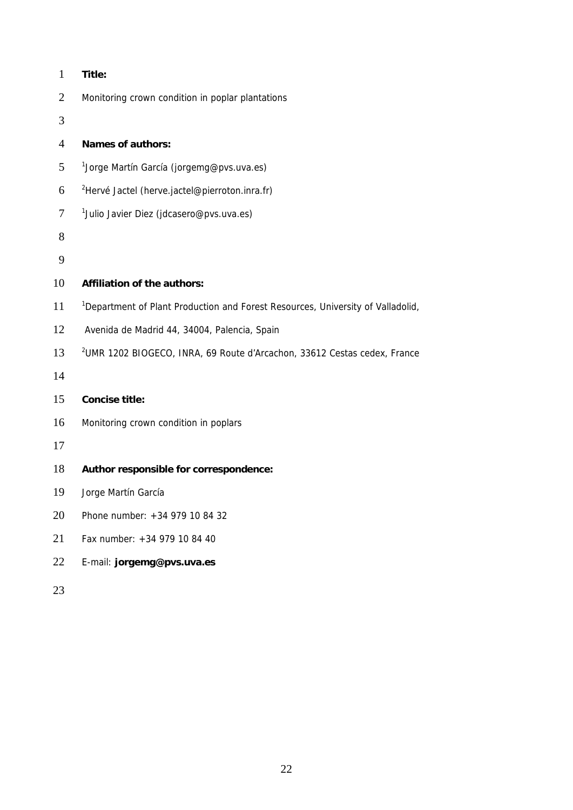| $\mathbf{1}$   | Title:                                                                                      |
|----------------|---------------------------------------------------------------------------------------------|
| $\overline{2}$ | Monitoring crown condition in poplar plantations                                            |
| 3              |                                                                                             |
| $\overline{4}$ | <b>Names of authors:</b>                                                                    |
| 5              | <sup>1</sup> Jorge Martín García (jorgemg@pvs.uva.es)                                       |
| 6              | <sup>2</sup> Hervé Jactel (herve.jactel@pierroton.inra.fr)                                  |
| $\overline{7}$ | <sup>1</sup> Julio Javier Diez (jdcasero@pvs.uva.es)                                        |
| 8              |                                                                                             |
| 9              |                                                                                             |
| 10             | Affiliation of the authors:                                                                 |
| 11             | <sup>1</sup> Department of Plant Production and Forest Resources, University of Valladolid, |
| 12             | Avenida de Madrid 44, 34004, Palencia, Spain                                                |
| 13             | <sup>2</sup> UMR 1202 BIOGECO, INRA, 69 Route d'Arcachon, 33612 Cestas cedex, France        |
| 14             |                                                                                             |
| 15             | <b>Concise title:</b>                                                                       |
| 16             | Monitoring crown condition in poplars                                                       |
| 17             |                                                                                             |
| 18             | Author responsible for correspondence:                                                      |
| 19             | Jorge Martín García                                                                         |
| 20             | Phone number: +34 979 10 84 32                                                              |
| 21             | Fax number: +34 979 10 84 40                                                                |
| 22             | E-mail: jorgemg@pvs.uva.es                                                                  |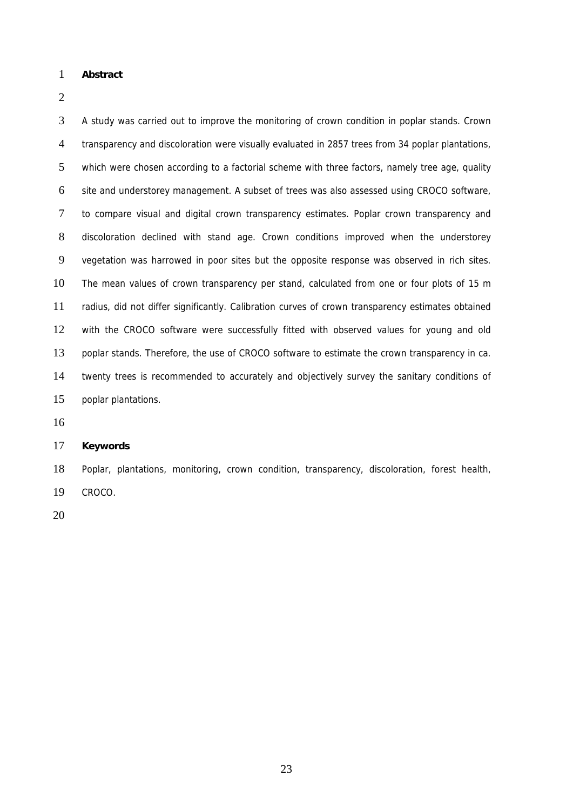#### 1 **Abstract**

2

3 4 5 6 7 8 9 10 11 12 13 14 15 A study was carried out to improve the monitoring of crown condition in poplar stands. Crown transparency and discoloration were visually evaluated in 2857 trees from 34 poplar plantations, which were chosen according to a factorial scheme with three factors, namely tree age, quality site and understorey management. A subset of trees was also assessed using CROCO software, to compare visual and digital crown transparency estimates. Poplar crown transparency and discoloration declined with stand age. Crown conditions improved when the understorey vegetation was harrowed in poor sites but the opposite response was observed in rich sites. The mean values of crown transparency per stand, calculated from one or four plots of 15 m radius, did not differ significantly. Calibration curves of crown transparency estimates obtained with the CROCO software were successfully fitted with observed values for young and old poplar stands. Therefore, the use of CROCO software to estimate the crown transparency in ca. twenty trees is recommended to accurately and objectively survey the sanitary conditions of poplar plantations.

16

#### 17 **Keywords**

18 19 Poplar, plantations, monitoring, crown condition, transparency, discoloration, forest health, CROCO.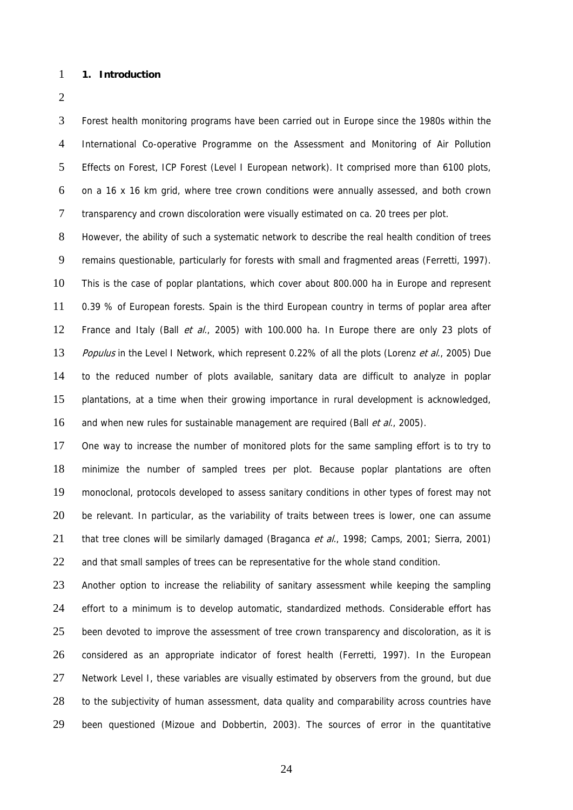#### 1 **1. Introduction**

2

3 4 5 6 7 Forest health monitoring programs have been carried out in Europe since the 1980s within the International Co-operative Programme on the Assessment and Monitoring of Air Pollution Effects on Forest, ICP Forest (Level I European network). It comprised more than 6100 plots, on a 16 x 16 km grid, where tree crown conditions were annually assessed, and both crown transparency and crown discoloration were visually estimated on ca. 20 trees per plot.

8 9 10 11 12 13 14 15 16 However, the ability of such a systematic network to describe the real health condition of trees remains questionable, particularly for forests with small and fragmented areas (Ferretti, 1997). This is the case of poplar plantations, which cover about 800.000 ha in Europe and represent 0.39 % of European forests. Spain is the third European country in terms of poplar area after France and Italy (Ball et al., 2005) with 100.000 ha. In Europe there are only 23 plots of Populus in the Level I Network, which represent 0.22% of all the plots (Lorenz et al., 2005) Due to the reduced number of plots available, sanitary data are difficult to analyze in poplar plantations, at a time when their growing importance in rural development is acknowledged, and when new rules for sustainable management are required (Ball et al., 2005).

17 18 19 20 21 22 One way to increase the number of monitored plots for the same sampling effort is to try to minimize the number of sampled trees per plot. Because poplar plantations are often monoclonal, protocols developed to assess sanitary conditions in other types of forest may not be relevant. In particular, as the variability of traits between trees is lower, one can assume that tree clones will be similarly damaged (Braganca et al., 1998; Camps, 2001; Sierra, 2001) and that small samples of trees can be representative for the whole stand condition.

23 24 25 26 27 28 29 Another option to increase the reliability of sanitary assessment while keeping the sampling effort to a minimum is to develop automatic, standardized methods. Considerable effort has been devoted to improve the assessment of tree crown transparency and discoloration, as it is considered as an appropriate indicator of forest health (Ferretti, 1997). In the European Network Level I, these variables are visually estimated by observers from the ground, but due to the subjectivity of human assessment, data quality and comparability across countries have been questioned (Mizoue and Dobbertin, 2003). The sources of error in the quantitative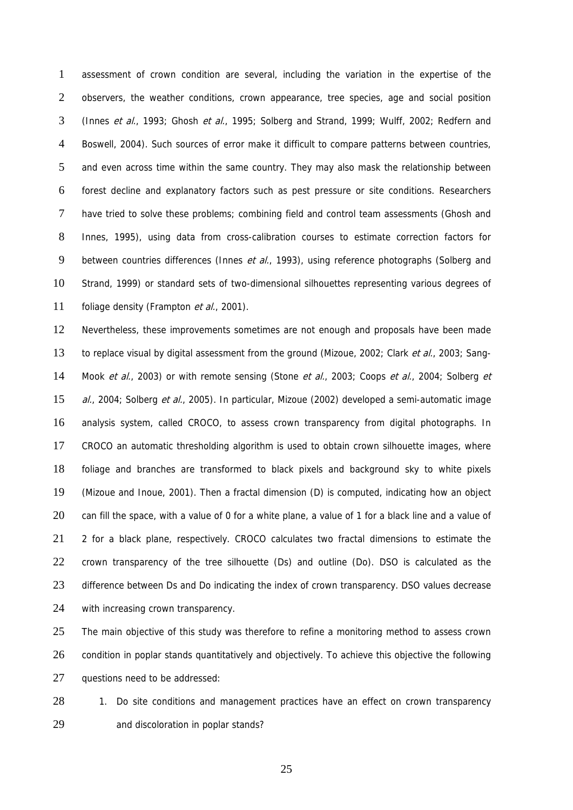1 2 3 4 5 6 7 8 9 10 11 assessment of crown condition are several, including the variation in the expertise of the observers, the weather conditions, crown appearance, tree species, age and social position (Innes et al., 1993; Ghosh et al., 1995; Solberg and Strand, 1999; Wulff, 2002; Redfern and Boswell, 2004). Such sources of error make it difficult to compare patterns between countries, and even across time within the same country. They may also mask the relationship between forest decline and explanatory factors such as pest pressure or site conditions. Researchers have tried to solve these problems; combining field and control team assessments (Ghosh and Innes, 1995), using data from cross-calibration courses to estimate correction factors for between countries differences (Innes et al., 1993), using reference photographs (Solberg and Strand, 1999) or standard sets of two-dimensional silhouettes representing various degrees of foliage density (Frampton et al., 2001).

12 13 14 15 16 17 18 19 20 21 22 23 24 Nevertheless, these improvements sometimes are not enough and proposals have been made to replace visual by digital assessment from the ground (Mizoue, 2002; Clark *et al.*, 2003; Sang-Mook et al., 2003) or with remote sensing (Stone et al., 2003; Coops et al., 2004; Solberg et al., 2004; Solberg et al., 2005). In particular, Mizoue (2002) developed a semi-automatic image analysis system, called CROCO, to assess crown transparency from digital photographs. In CROCO an automatic thresholding algorithm is used to obtain crown silhouette images, where foliage and branches are transformed to black pixels and background sky to white pixels (Mizoue and Inoue, 2001). Then a fractal dimension (D) is computed, indicating how an object can fill the space, with a value of 0 for a white plane, a value of 1 for a black line and a value of 2 for a black plane, respectively. CROCO calculates two fractal dimensions to estimate the crown transparency of the tree silhouette (Ds) and outline (Do). DSO is calculated as the difference between Ds and Do indicating the index of crown transparency. DSO values decrease with increasing crown transparency.

25 26 27 The main objective of this study was therefore to refine a monitoring method to assess crown condition in poplar stands quantitatively and objectively. To achieve this objective the following questions need to be addressed:

28 29 1. Do site conditions and management practices have an effect on crown transparency and discoloration in poplar stands?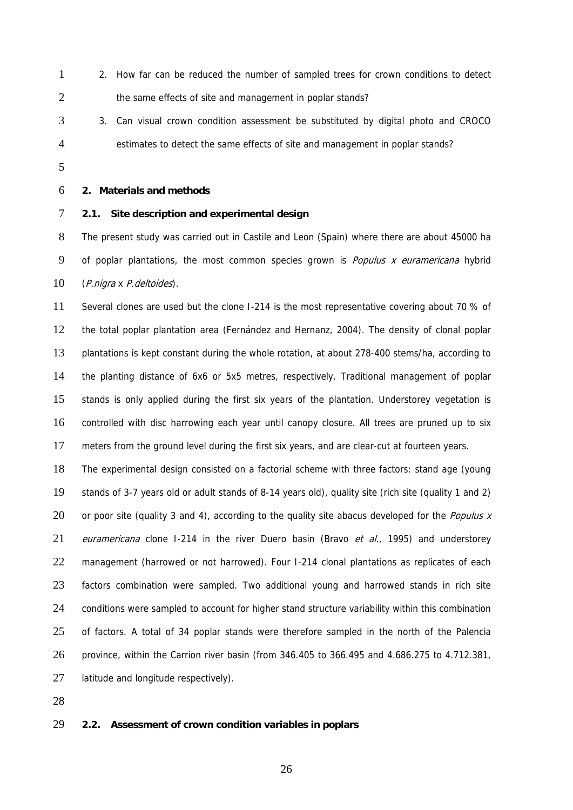- 1 2 2. How far can be reduced the number of sampled trees for crown conditions to detect the same effects of site and management in poplar stands?
- 3 4 3. Can visual crown condition assessment be substituted by digital photo and CROCO estimates to detect the same effects of site and management in poplar stands?
- 5

#### 6 **2. Materials and methods**

#### 7 **2.1. Site description and experimental design**

8 9 10 The present study was carried out in Castile and Leon (Spain) where there are about 45000 ha of poplar plantations, the most common species grown is *Populus x euramericana* hybrid (P.nigra x P.deltoides).

11 12 13 14 15 16 17 Several clones are used but the clone I-214 is the most representative covering about 70 % of the total poplar plantation area (Fernández and Hernanz, 2004). The density of clonal poplar plantations is kept constant during the whole rotation, at about 278-400 stems/ha, according to the planting distance of 6x6 or 5x5 metres, respectively. Traditional management of poplar stands is only applied during the first six years of the plantation. Understorey vegetation is controlled with disc harrowing each year until canopy closure. All trees are pruned up to six meters from the ground level during the first six years, and are clear-cut at fourteen years.

18 19 20 21 22 23 24 25 26 27 The experimental design consisted on a factorial scheme with three factors: stand age (young stands of 3-7 years old or adult stands of 8-14 years old), quality site (rich site (quality 1 and 2) or poor site (quality 3 and 4), according to the quality site abacus developed for the *Populus x* euramericana clone I-214 in the river Duero basin (Bravo et al., 1995) and understorey management (harrowed or not harrowed). Four I-214 clonal plantations as replicates of each factors combination were sampled. Two additional young and harrowed stands in rich site conditions were sampled to account for higher stand structure variability within this combination of factors. A total of 34 poplar stands were therefore sampled in the north of the Palencia province, within the Carrion river basin (from 346.405 to 366.495 and 4.686.275 to 4.712.381, latitude and longitude respectively).

28

#### 29 **2.2. Assessment of crown condition variables in poplars**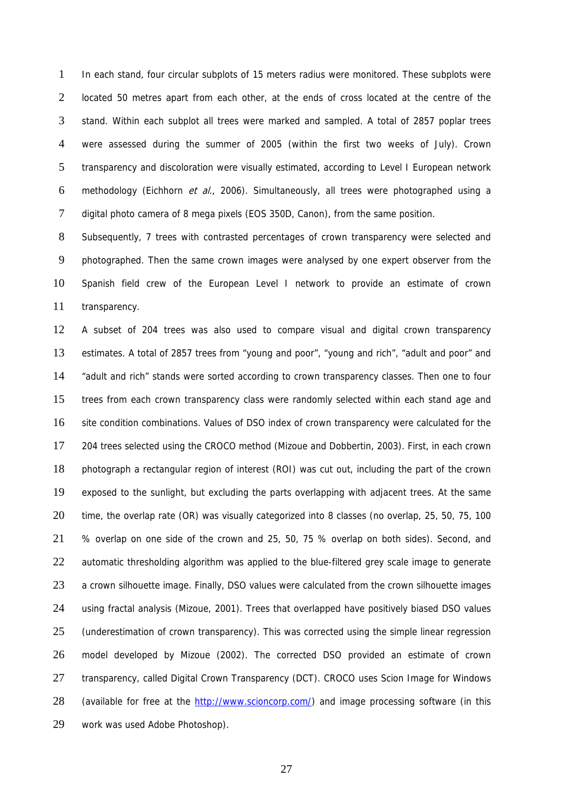1 2 3 4 5 6 7 In each stand, four circular subplots of 15 meters radius were monitored. These subplots were located 50 metres apart from each other, at the ends of cross located at the centre of the stand. Within each subplot all trees were marked and sampled. A total of 2857 poplar trees were assessed during the summer of 2005 (within the first two weeks of July). Crown transparency and discoloration were visually estimated, according to Level I European network methodology (Eichhorn et al., 2006). Simultaneously, all trees were photographed using a digital photo camera of 8 mega pixels (EOS 350D, Canon), from the same position.

8 9 10 11 Subsequently, 7 trees with contrasted percentages of crown transparency were selected and photographed. Then the same crown images were analysed by one expert observer from the Spanish field crew of the European Level I network to provide an estimate of crown transparency.

12 13 14 15 16 17 18 19 20 21 22 23 24 25 26 27 A subset of 204 trees was also used to compare visual and digital crown transparency estimates. A total of 2857 trees from "young and poor", "young and rich", "adult and poor" and "adult and rich" stands were sorted according to crown transparency classes. Then one to four trees from each crown transparency class were randomly selected within each stand age and site condition combinations. Values of DSO index of crown transparency were calculated for the 204 trees selected using the CROCO method (Mizoue and Dobbertin, 2003). First, in each crown photograph a rectangular region of interest (ROI) was cut out, including the part of the crown exposed to the sunlight, but excluding the parts overlapping with adjacent trees. At the same time, the overlap rate (OR) was visually categorized into 8 classes (no overlap, 25, 50, 75, 100 % overlap on one side of the crown and 25, 50, 75 % overlap on both sides). Second, and automatic thresholding algorithm was applied to the blue-filtered grey scale image to generate a crown silhouette image. Finally, DSO values were calculated from the crown silhouette images using fractal analysis (Mizoue, 2001). Trees that overlapped have positively biased DSO values (underestimation of crown transparency). This was corrected using the simple linear regression model developed by Mizoue (2002). The corrected DSO provided an estimate of crown transparency, called Digital Crown Transparency (DCT). CROCO uses Scion Image for Windows (available for free at the [http://www.scioncorp.com/\)](http://rsb.info.nih.gov/nih-image/) and image processing software (in this work was used Adobe Photoshop). 28 29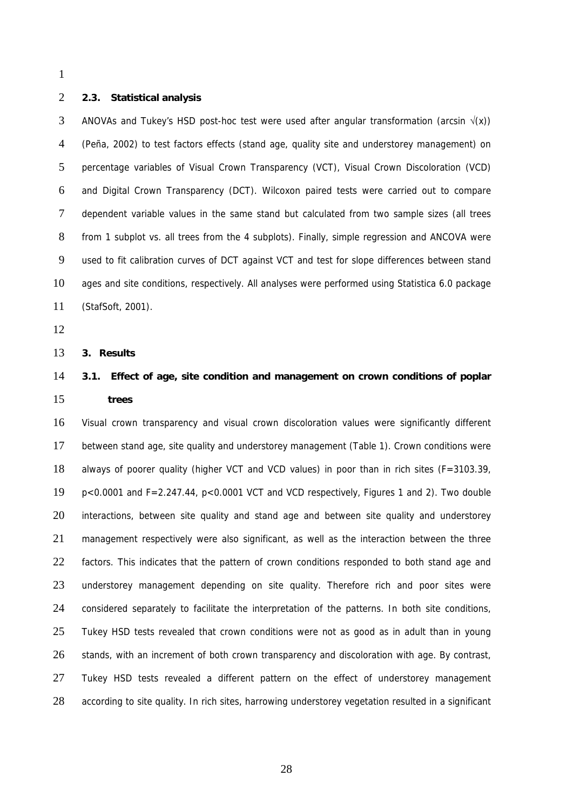1

#### 2 **2.3. Statistical analysis**

3 4 5 6 7 8 9 10 11 ANOVAs and Tukey's HSD post-hoc test were used after angular transformation (arcsin  $\sqrt{x}$ ) (Peña, 2002) to test factors effects (stand age, quality site and understorey management) on percentage variables of Visual Crown Transparency (VCT), Visual Crown Discoloration (VCD) and Digital Crown Transparency (DCT). Wilcoxon paired tests were carried out to compare dependent variable values in the same stand but calculated from two sample sizes (all trees from 1 subplot vs. all trees from the 4 subplots). Finally, simple regression and ANCOVA were used to fit calibration curves of DCT against VCT and test for slope differences between stand ages and site conditions, respectively. All analyses were performed using Statistica 6.0 package (StafSoft, 2001).

12

13 **3. Results** 

#### 14 15 **3.1. Effect of age, site condition and management on crown conditions of poplar trees**

16 17 18 19 20 21 22 23 24 25 26 27 28 Visual crown transparency and visual crown discoloration values were significantly different between stand age, site quality and understorey management (Table 1). Crown conditions were always of poorer quality (higher VCT and VCD values) in poor than in rich sites (F=3103.39, p<0.0001 and F=2.247.44, p<0.0001 VCT and VCD respectively, Figures 1 and 2). Two double interactions, between site quality and stand age and between site quality and understorey management respectively were also significant, as well as the interaction between the three factors. This indicates that the pattern of crown conditions responded to both stand age and understorey management depending on site quality. Therefore rich and poor sites were considered separately to facilitate the interpretation of the patterns. In both site conditions, Tukey HSD tests revealed that crown conditions were not as good as in adult than in young stands, with an increment of both crown transparency and discoloration with age. By contrast, Tukey HSD tests revealed a different pattern on the effect of understorey management according to site quality. In rich sites, harrowing understorey vegetation resulted in a significant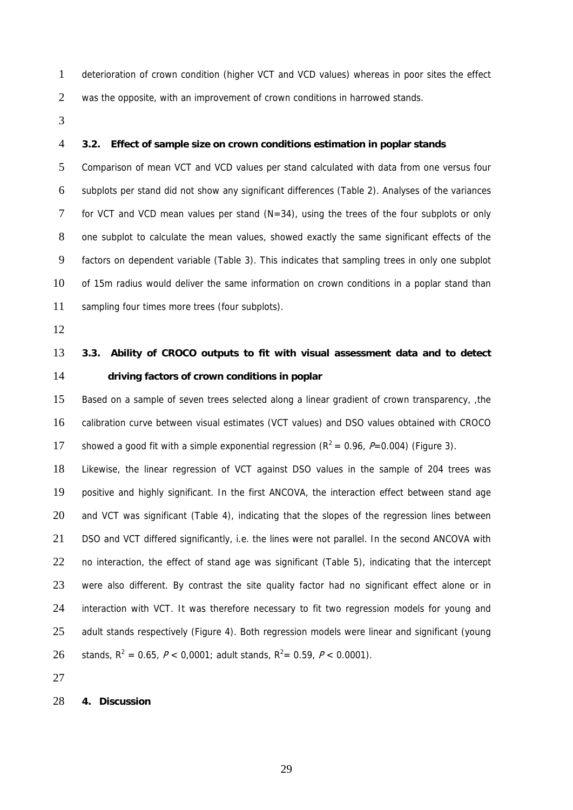- 1 2 deterioration of crown condition (higher VCT and VCD values) whereas in poor sites the effect was the opposite, with an improvement of crown conditions in harrowed stands.
- 3

#### 4 **3.2. Effect of sample size on crown conditions estimation in poplar stands**

5 6 7 8 9 10 11 Comparison of mean VCT and VCD values per stand calculated with data from one versus four subplots per stand did not show any significant differences (Table 2). Analyses of the variances for VCT and VCD mean values per stand  $(N=34)$ , using the trees of the four subplots or only one subplot to calculate the mean values, showed exactly the same significant effects of the factors on dependent variable (Table 3). This indicates that sampling trees in only one subplot of 15m radius would deliver the same information on crown conditions in a poplar stand than sampling four times more trees (four subplots).

12

### 13 14 **3.3. Ability of CROCO outputs to fit with visual assessment data and to detect driving factors of crown conditions in poplar**

15 16 17 Based on a sample of seven trees selected along a linear gradient of crown transparency, ,the calibration curve between visual estimates (VCT values) and DSO values obtained with CROCO showed a good fit with a simple exponential regression ( $R^2 = 0.96$ ,  $P=0.004$ ) (Figure 3).

18 19 20 21 22 23 24 25 26 Likewise, the linear regression of VCT against DSO values in the sample of 204 trees was positive and highly significant. In the first ANCOVA, the interaction effect between stand age and VCT was significant (Table 4), indicating that the slopes of the regression lines between DSO and VCT differed significantly, i.e. the lines were not parallel. In the second ANCOVA with no interaction, the effect of stand age was significant (Table 5), indicating that the intercept were also different. By contrast the site quality factor had no significant effect alone or in interaction with VCT. It was therefore necessary to fit two regression models for young and adult stands respectively (Figure 4). Both regression models were linear and significant (young stands,  $R^2 = 0.65$ ,  $P < 0.0001$ ; adult stands,  $R^2 = 0.59$ ,  $P < 0.0001$ ).

27

#### 28 **4. Discussion**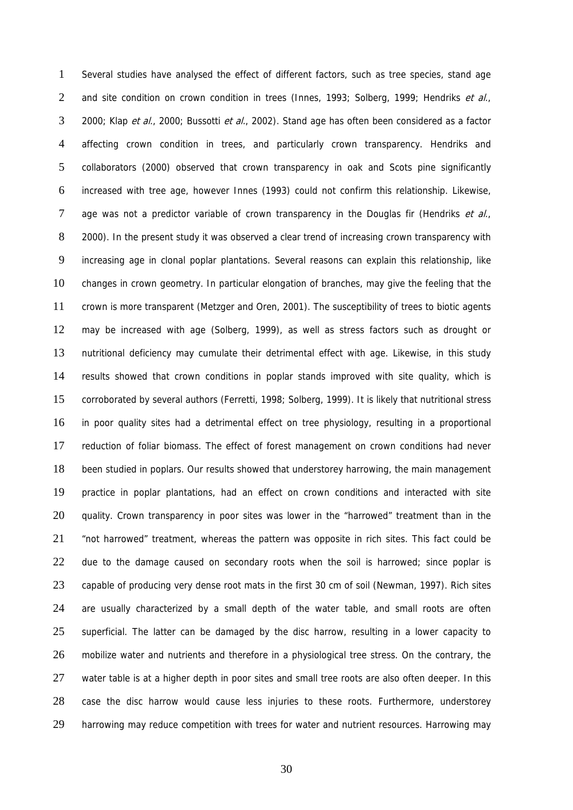1 2 3 4 5 6 7 8 9 10 11 12 13 14 15 16 17 18 19 20 21 22 23 24 25 26 27 28 29 Several studies have analysed the effect of different factors, such as tree species, stand age and site condition on crown condition in trees (Innes, 1993; Solberg, 1999; Hendriks et al., 2000; Klap et al., 2000; Bussotti et al., 2002). Stand age has often been considered as a factor affecting crown condition in trees, and particularly crown transparency. Hendriks and collaborators (2000) observed that crown transparency in oak and Scots pine significantly increased with tree age, however Innes (1993) could not confirm this relationship. Likewise, age was not a predictor variable of crown transparency in the Douglas fir (Hendriks et al., 2000). In the present study it was observed a clear trend of increasing crown transparency with increasing age in clonal poplar plantations. Several reasons can explain this relationship, like changes in crown geometry. In particular elongation of branches, may give the feeling that the crown is more transparent (Metzger and Oren, 2001). The susceptibility of trees to biotic agents may be increased with age (Solberg, 1999), as well as stress factors such as drought or nutritional deficiency may cumulate their detrimental effect with age. Likewise, in this study results showed that crown conditions in poplar stands improved with site quality, which is corroborated by several authors (Ferretti, 1998; Solberg, 1999). It is likely that nutritional stress in poor quality sites had a detrimental effect on tree physiology, resulting in a proportional reduction of foliar biomass. The effect of forest management on crown conditions had never been studied in poplars. Our results showed that understorey harrowing, the main management practice in poplar plantations, had an effect on crown conditions and interacted with site quality. Crown transparency in poor sites was lower in the "harrowed" treatment than in the "not harrowed" treatment, whereas the pattern was opposite in rich sites. This fact could be due to the damage caused on secondary roots when the soil is harrowed; since poplar is capable of producing very dense root mats in the first 30 cm of soil (Newman, 1997). Rich sites are usually characterized by a small depth of the water table, and small roots are often superficial. The latter can be damaged by the disc harrow, resulting in a lower capacity to mobilize water and nutrients and therefore in a physiological tree stress. On the contrary, the water table is at a higher depth in poor sites and small tree roots are also often deeper. In this case the disc harrow would cause less injuries to these roots. Furthermore, understorey harrowing may reduce competition with trees for water and nutrient resources. Harrowing may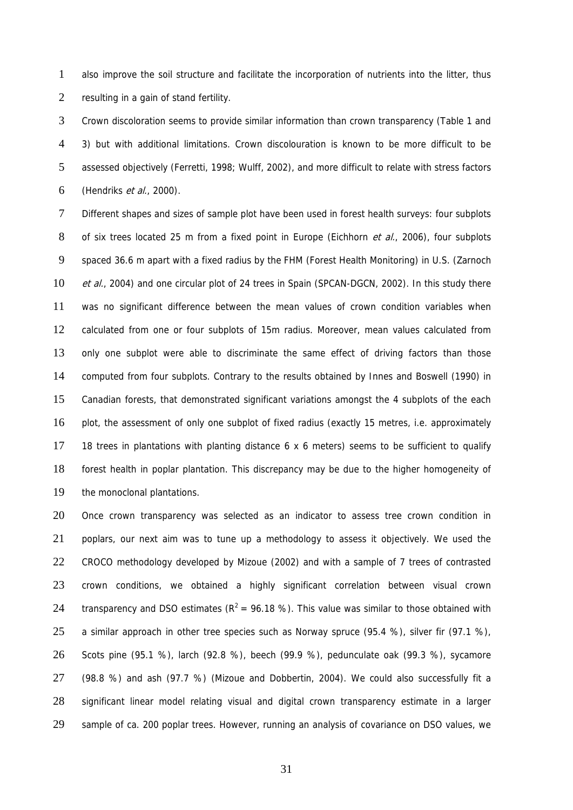1 2 also improve the soil structure and facilitate the incorporation of nutrients into the litter, thus resulting in a gain of stand fertility.

3 4 5 6 Crown discoloration seems to provide similar information than crown transparency (Table 1 and 3) but with additional limitations. Crown discolouration is known to be more difficult to be assessed objectively (Ferretti, 1998; Wulff, 2002), and more difficult to relate with stress factors (Hendriks *et al.*, 2000).

7 8 9 10 11 12 13 14 15 16 17 18 19 Different shapes and sizes of sample plot have been used in forest health surveys: four subplots of six trees located 25 m from a fixed point in Europe (Eichhorn et al., 2006), four subplots spaced 36.6 m apart with a fixed radius by the FHM (Forest Health Monitoring) in U.S. (Zarnoch et al., 2004) and one circular plot of 24 trees in Spain (SPCAN-DGCN, 2002). In this study there was no significant difference between the mean values of crown condition variables when calculated from one or four subplots of 15m radius. Moreover, mean values calculated from only one subplot were able to discriminate the same effect of driving factors than those computed from four subplots. Contrary to the results obtained by Innes and Boswell (1990) in Canadian forests, that demonstrated significant variations amongst the 4 subplots of the each plot, the assessment of only one subplot of fixed radius (exactly 15 metres, i.e. approximately 18 trees in plantations with planting distance 6 x 6 meters) seems to be sufficient to qualify forest health in poplar plantation. This discrepancy may be due to the higher homogeneity of the monoclonal plantations.

20 21 22 23 24 25 26 27 28 29 Once crown transparency was selected as an indicator to assess tree crown condition in poplars, our next aim was to tune up a methodology to assess it objectively. We used the CROCO methodology developed by Mizoue (2002) and with a sample of 7 trees of contrasted crown conditions, we obtained a highly significant correlation between visual crown transparency and DSO estimates ( $R^2 = 96.18$ %). This value was similar to those obtained with a similar approach in other tree species such as Norway spruce (95.4 %), silver fir (97.1 %), Scots pine (95.1 %), larch (92.8 %), beech (99.9 %), pedunculate oak (99.3 %), sycamore (98.8 %) and ash (97.7 %) (Mizoue and Dobbertin, 2004). We could also successfully fit a significant linear model relating visual and digital crown transparency estimate in a larger sample of ca. 200 poplar trees. However, running an analysis of covariance on DSO values, we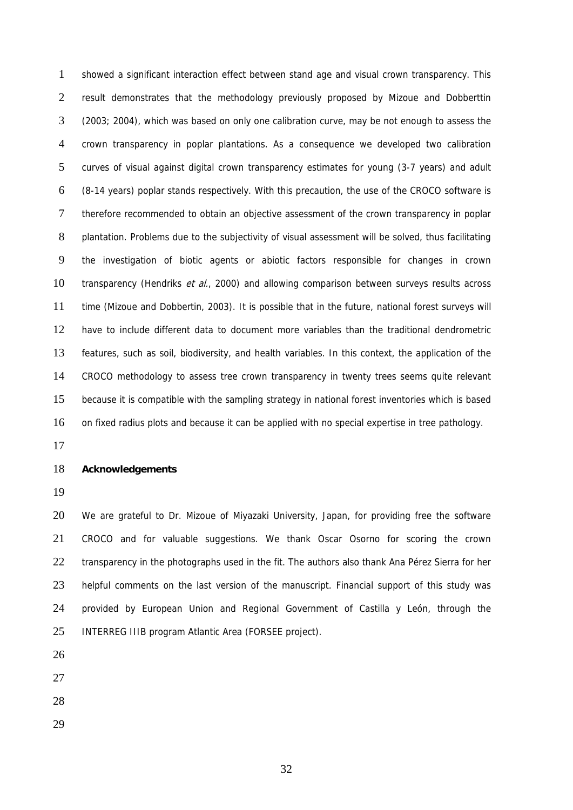1 2 3 4 5 6 7 8 9 10 11 12 13 14 15 16 showed a significant interaction effect between stand age and visual crown transparency. This result demonstrates that the methodology previously proposed by Mizoue and Dobberttin (2003; 2004), which was based on only one calibration curve, may be not enough to assess the crown transparency in poplar plantations. As a consequence we developed two calibration curves of visual against digital crown transparency estimates for young (3-7 years) and adult (8-14 years) poplar stands respectively. With this precaution, the use of the CROCO software is therefore recommended to obtain an objective assessment of the crown transparency in poplar plantation. Problems due to the subjectivity of visual assessment will be solved, thus facilitating the investigation of biotic agents or abiotic factors responsible for changes in crown transparency (Hendriks *et al.*, 2000) and allowing comparison between surveys results across time (Mizoue and Dobbertin, 2003). It is possible that in the future, national forest surveys will have to include different data to document more variables than the traditional dendrometric features, such as soil, biodiversity, and health variables. In this context, the application of the CROCO methodology to assess tree crown transparency in twenty trees seems quite relevant because it is compatible with the sampling strategy in national forest inventories which is based on fixed radius plots and because it can be applied with no special expertise in tree pathology.

17

#### 18 **Acknowledgements**

19

20 21 22 23 24 25 We are grateful to Dr. Mizoue of Miyazaki University, Japan, for providing free the software CROCO and for valuable suggestions. We thank Oscar Osorno for scoring the crown transparency in the photographs used in the fit. The authors also thank Ana Pérez Sierra for her helpful comments on the last version of the manuscript. Financial support of this study was provided by European Union and Regional Government of Castilla y León, through the INTERREG IIIB program Atlantic Area (FORSEE project).

- 26
- 27
- 28
- 29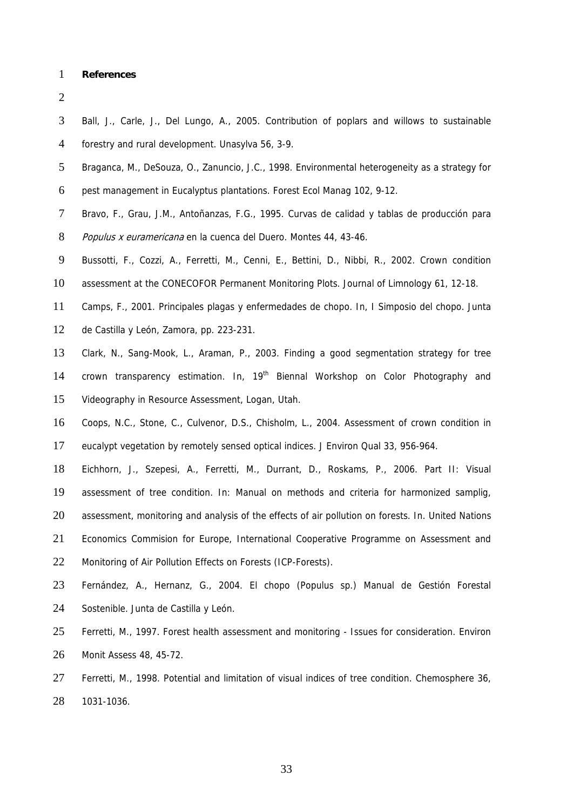1 **References** 

2

3 4 Ball, J., Carle, J., Del Lungo, A., 2005. Contribution of poplars and willows to sustainable forestry and rural development. Unasylva 56, 3-9.

- 5 Braganca, M., DeSouza, O., Zanuncio, J.C., 1998. Environmental heterogeneity as a strategy for
- 6 pest management in Eucalyptus plantations. Forest Ecol Manag 102, 9-12.
- 7 Bravo, F., Grau, J.M., Antoñanzas, F.G., 1995. Curvas de calidad y tablas de producción para
- 8 Populus x euramericana en la cuenca del Duero. Montes 44, 43-46.
- 9 Bussotti, F., Cozzi, A., Ferretti, M., Cenni, E., Bettini, D., Nibbi, R., 2002. Crown condition
- 10 assessment at the CONECOFOR Permanent Monitoring Plots. Journal of Limnology 61, 12-18.
- 11 Camps, F., 2001. Principales plagas y enfermedades de chopo. In, I Simposio del chopo. Junta
- 12 de Castilla y León, Zamora, pp. 223-231.
- 13 14 15 Clark, N., Sang-Mook, L., Araman, P., 2003. Finding a good segmentation strategy for tree crown transparency estimation. In, 19<sup>th</sup> Biennal Workshop on Color Photography and Videography in Resource Assessment, Logan, Utah.
- 16 17 Coops, N.C., Stone, C., Culvenor, D.S., Chisholm, L., 2004. Assessment of crown condition in eucalypt vegetation by remotely sensed optical indices. J Environ Qual 33, 956-964.
- 18 Eichhorn, J., Szepesi, A., Ferretti, M., Durrant, D., Roskams, P., 2006. Part II: Visual
- 19 assessment of tree condition. In: Manual on methods and criteria for harmonized samplig,
- 20 assessment, monitoring and analysis of the effects of air pollution on forests. In. United Nations
- 21 Economics Commision for Europe, International Cooperative Programme on Assessment and
- 22 Monitoring of Air Pollution Effects on Forests (ICP-Forests).
- 23 24 Fernández, A., Hernanz, G., 2004. El chopo (Populus sp.) Manual de Gestión Forestal Sostenible. Junta de Castilla y León.
- 25 26 Ferretti, M., 1997. Forest health assessment and monitoring - Issues for consideration. Environ Monit Assess 48, 45-72.
- 27 28 Ferretti, M., 1998. Potential and limitation of visual indices of tree condition. Chemosphere 36, 1031-1036.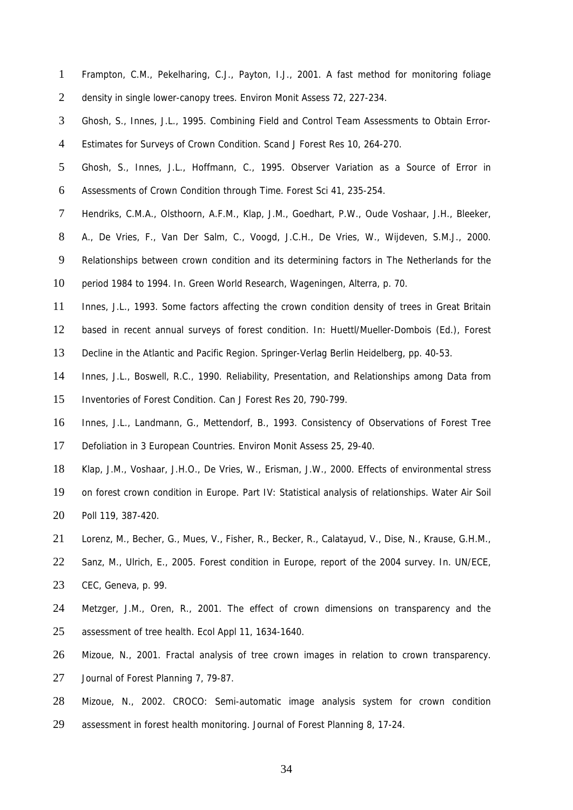- 1 2 Frampton, C.M., Pekelharing, C.J., Payton, I.J., 2001. A fast method for monitoring foliage density in single lower-canopy trees. Environ Monit Assess 72, 227-234.
- 3 4 Ghosh, S., Innes, J.L., 1995. Combining Field and Control Team Assessments to Obtain Error-Estimates for Surveys of Crown Condition. Scand J Forest Res 10, 264-270.
- 5 6 Ghosh, S., Innes, J.L., Hoffmann, C., 1995. Observer Variation as a Source of Error in Assessments of Crown Condition through Time. Forest Sci 41, 235-254.
- 7 Hendriks, C.M.A., Olsthoorn, A.F.M., Klap, J.M., Goedhart, P.W., Oude Voshaar, J.H., Bleeker,
- 8 A., De Vries, F., Van Der Salm, C., Voogd, J.C.H., De Vries, W., Wijdeven, S.M.J., 2000.
- 9 Relationships between crown condition and its determining factors in The Netherlands for the
- 10 period 1984 to 1994. In. Green World Research, Wageningen, Alterra, p. 70.
- 11 Innes, J.L., 1993. Some factors affecting the crown condition density of trees in Great Britain
- 12 based in recent annual surveys of forest condition. In: Huettl/Mueller-Dombois (Ed.), Forest
- 13 Decline in the Atlantic and Pacific Region. Springer-Verlag Berlin Heidelberg, pp. 40-53.
- 14 15 Innes, J.L., Boswell, R.C., 1990. Reliability, Presentation, and Relationships among Data from Inventories of Forest Condition. Can J Forest Res 20, 790-799.
- 16 17 Innes, J.L., Landmann, G., Mettendorf, B., 1993. Consistency of Observations of Forest Tree Defoliation in 3 European Countries. Environ Monit Assess 25, 29-40.
- 18 Klap, J.M., Voshaar, J.H.O., De Vries, W., Erisman, J.W., 2000. Effects of environmental stress
- 19 20 on forest crown condition in Europe. Part IV: Statistical analysis of relationships. Water Air Soil Poll 119, 387-420.
- 21 Lorenz, M., Becher, G., Mues, V., Fisher, R., Becker, R., Calatayud, V., Dise, N., Krause, G.H.M.,
- 22 Sanz, M., Ulrich, E., 2005. Forest condition in Europe, report of the 2004 survey. In. UN/ECE,
- 23 CEC, Geneva, p. 99.
- 24 25 Metzger, J.M., Oren, R., 2001. The effect of crown dimensions on transparency and the assessment of tree health. Ecol Appl 11, 1634-1640.
- 26 Mizoue, N., 2001. Fractal analysis of tree crown images in relation to crown transparency.
- 27 Journal of Forest Planning 7, 79-87.
- 28 29 Mizoue, N., 2002. CROCO: Semi-automatic image analysis system for crown condition assessment in forest health monitoring. Journal of Forest Planning 8, 17-24.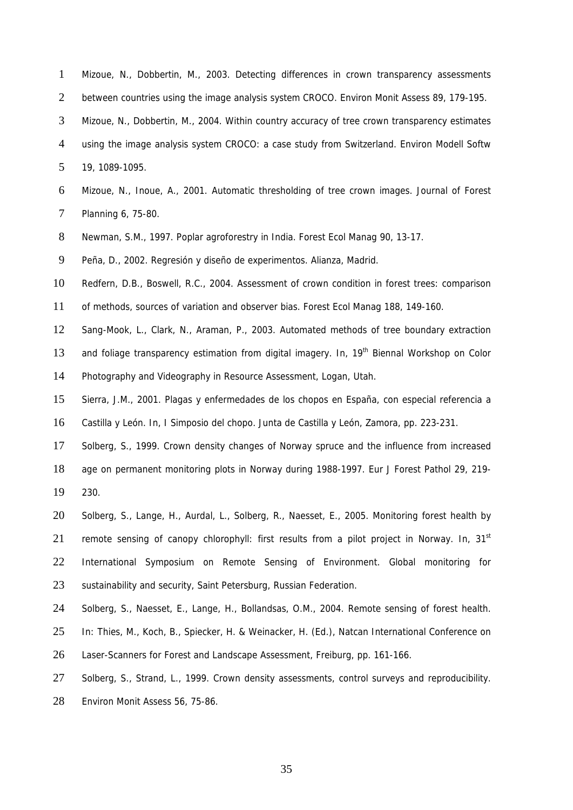- 1 2 Mizoue, N., Dobbertin, M., 2003. Detecting differences in crown transparency assessments between countries using the image analysis system CROCO. Environ Monit Assess 89, 179-195.
- 3 Mizoue, N., Dobbertin, M., 2004. Within country accuracy of tree crown transparency estimates
- 4 using the image analysis system CROCO: a case study from Switzerland. Environ Modell Softw

5 19, 1089-1095.

- 6 7 Mizoue, N., Inoue, A., 2001. Automatic thresholding of tree crown images. Journal of Forest Planning 6, 75-80.
- 8 Newman, S.M., 1997. Poplar agroforestry in India. Forest Ecol Manag 90, 13-17.

9 Peña, D., 2002. Regresión y diseño de experimentos. Alianza, Madrid.

- 10 Redfern, D.B., Boswell, R.C., 2004. Assessment of crown condition in forest trees: comparison
- 11 of methods, sources of variation and observer bias. Forest Ecol Manag 188, 149-160.

12 Sang-Mook, L., Clark, N., Araman, P., 2003. Automated methods of tree boundary extraction

13 and foliage transparency estimation from digital imagery. In, 19<sup>th</sup> Biennal Workshop on Color

14 Photography and Videography in Resource Assessment, Logan, Utah.

- 15 Sierra, J.M., 2001. Plagas y enfermedades de los chopos en España, con especial referencia a
- 16 Castilla y León. In, I Simposio del chopo. Junta de Castilla y León, Zamora, pp. 223-231.

17 Solberg, S., 1999. Crown density changes of Norway spruce and the influence from increased

18 age on permanent monitoring plots in Norway during 1988-1997. Eur J Forest Pathol 29, 219-

19 230.

- 20 21 22 23 Solberg, S., Lange, H., Aurdal, L., Solberg, R., Naesset, E., 2005. Monitoring forest health by remote sensing of canopy chlorophyll: first results from a pilot project in Norway. In,  $31<sup>st</sup>$ International Symposium on Remote Sensing of Environment. Global monitoring for sustainability and security, Saint Petersburg, Russian Federation.
- 24 Solberg, S., Naesset, E., Lange, H., Bollandsas, O.M., 2004. Remote sensing of forest health.
- 25 In: Thies, M., Koch, B., Spiecker, H. & Weinacker, H. (Ed.), Natcan International Conference on
- 26 Laser-Scanners for Forest and Landscape Assessment, Freiburg, pp. 161-166.
- 27 Solberg, S., Strand, L., 1999. Crown density assessments, control surveys and reproducibility.
- 28 Environ Monit Assess 56, 75-86.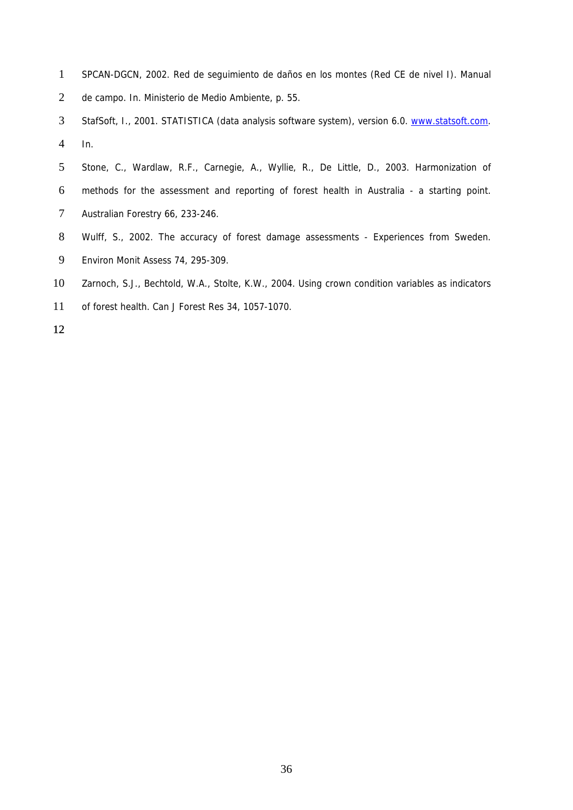- 1 SPCAN-DGCN, 2002. Red de seguimiento de daños en los montes (Red CE de nivel I). Manual
- 2 de campo. In. Ministerio de Medio Ambiente, p. 55.
- 3 4 StafSoft, I., 2001. STATISTICA (data analysis software system), version 6.0. [www.statsoft.com](http://www.statsoft.com/). In.
- 5 6 7 Stone, C., Wardlaw, R.F., Carnegie, A., Wyllie, R., De Little, D., 2003. Harmonization of methods for the assessment and reporting of forest health in Australia - a starting point. Australian Forestry 66, 233-246.
- 8 9 Wulff, S., 2002. The accuracy of forest damage assessments - Experiences from Sweden. Environ Monit Assess 74, 295-309.
- 10 Zarnoch, S.J., Bechtold, W.A., Stolte, K.W., 2004. Using crown condition variables as indicators
- 11 of forest health. Can J Forest Res 34, 1057-1070.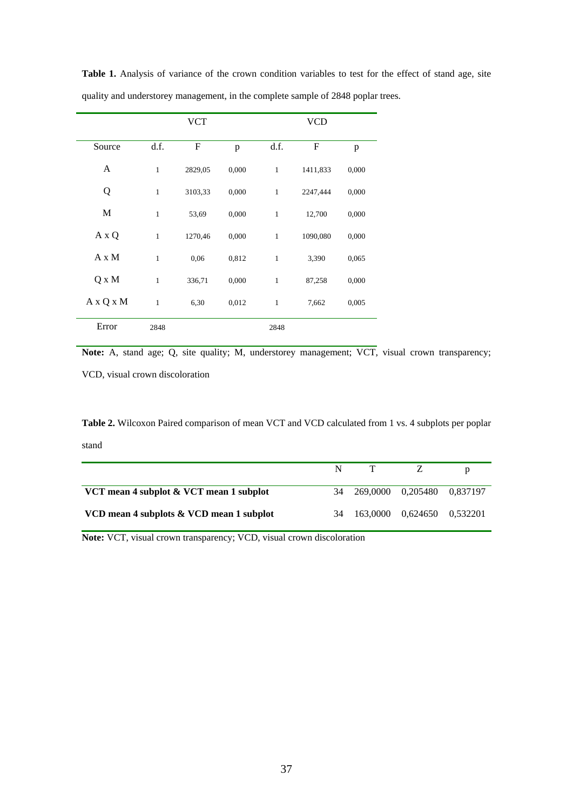|              |              | <b>VCT</b> |       |              | <b>VCD</b> |       |
|--------------|--------------|------------|-------|--------------|------------|-------|
| Source       | d.f.         | F          | p     | d.f.         | F          | p     |
| A            | $\mathbf{1}$ | 2829,05    | 0,000 | $\mathbf{1}$ | 1411,833   | 0,000 |
| Q            | $\mathbf{1}$ | 3103,33    | 0,000 | $\mathbf{1}$ | 2247,444   | 0,000 |
| M            | $\mathbf{1}$ | 53,69      | 0,000 | $\mathbf{1}$ | 12,700     | 0,000 |
| A x Q        | $\mathbf{1}$ | 1270,46    | 0,000 | $\mathbf{1}$ | 1090,080   | 0,000 |
| $A \times M$ | $\mathbf{1}$ | 0,06       | 0,812 | $\mathbf{1}$ | 3,390      | 0,065 |
| Q x M        | $\mathbf{1}$ | 336,71     | 0,000 | $\mathbf{1}$ | 87,258     | 0,000 |
| A x Q x M    | $\mathbf{1}$ | 6,30       | 0,012 | $\mathbf{1}$ | 7,662      | 0,005 |
| Error        | 2848         |            |       | 2848         |            |       |

Table 1. Analysis of variance of the crown condition variables to test for the effect of stand age, site quality and understorey management, in the complete sample of 2848 poplar trees.

**Note:** A, stand age; Q, site quality; M, understorey management; VCT, visual crown transparency; VCD, visual crown discoloration

**Table 2.** Wilcoxon Paired comparison of mean VCT and VCD calculated from 1 vs. 4 subplots per poplar stand

| VCT mean 4 subplot & VCT mean 1 subplot  |  | 34 269,0000 0.205480 0.837197 |  |
|------------------------------------------|--|-------------------------------|--|
| VCD mean 4 subplots & VCD mean 1 subplot |  | 34 163,0000 0,624650 0,532201 |  |

**Note:** VCT, visual crown transparency; VCD, visual crown discoloration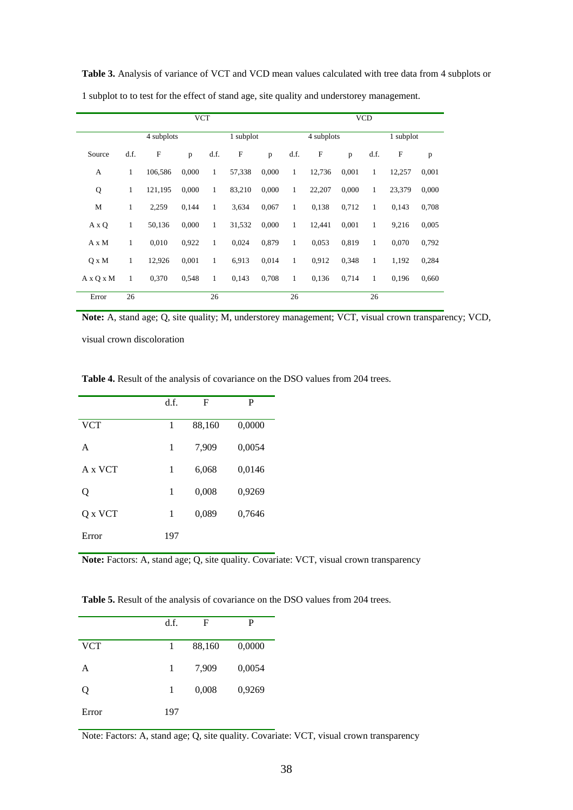| <b>VCT</b>            |              |              |       |              |              |       |              |              | <b>VCD</b> |              |             |       |
|-----------------------|--------------|--------------|-------|--------------|--------------|-------|--------------|--------------|------------|--------------|-------------|-------|
|                       |              | 4 subplots   |       |              | 1 subplot    |       |              | 4 subplots   |            |              | 1 subplot   |       |
| Source                | d.f.         | $\mathbf{F}$ | p     | d.f.         | $\mathbf{F}$ | p     | d.f.         | $\mathbf{F}$ | p          | d.f.         | $\mathbf F$ | p     |
| A                     | $\mathbf{1}$ | 106,586      | 0,000 | $\mathbf{1}$ | 57,338       | 0,000 | $\mathbf{1}$ | 12,736       | 0,001      | $\mathbf{1}$ | 12,257      | 0,001 |
| Q                     | 1            | 121,195      | 0,000 | $\mathbf{1}$ | 83,210       | 0,000 | $\mathbf{1}$ | 22,207       | 0,000      | $\mathbf{1}$ | 23,379      | 0,000 |
| M                     | $\mathbf{1}$ | 2,259        | 0,144 | $\mathbf{1}$ | 3,634        | 0,067 | $\mathbf{1}$ | 0,138        | 0,712      | $\mathbf{1}$ | 0,143       | 0,708 |
| A x Q                 | $\mathbf{1}$ | 50,136       | 0,000 | $\mathbf{1}$ | 31,532       | 0,000 | $\mathbf{1}$ | 12,441       | 0,001      | $\mathbf{1}$ | 9,216       | 0,005 |
| A x M                 | $\mathbf{1}$ | 0,010        | 0,922 | 1            | 0,024        | 0,879 | $\mathbf{1}$ | 0,053        | 0,819      | $\mathbf{1}$ | 0,070       | 0,792 |
| $Q \times M$          | $\mathbf{1}$ | 12,926       | 0,001 | $\mathbf{1}$ | 6,913        | 0,014 | $\mathbf{1}$ | 0,912        | 0,348      | $\mathbf{1}$ | 1,192       | 0,284 |
| $A \times O \times M$ | 1            | 0,370        | 0,548 | $\mathbf{1}$ | 0,143        | 0,708 | $\mathbf{1}$ | 0,136        | 0,714      | $\mathbf{1}$ | 0,196       | 0,660 |
| Error                 | 26           |              |       | 26           |              |       | 26           |              |            | 26           |             |       |

**Table 3.** Analysis of variance of VCT and VCD mean values calculated with tree data from 4 subplots or 1 subplot to to test for the effect of stand age, site quality and understorey management.

**Note:** A, stand age; Q, site quality; M, understorey management; VCT, visual crown transparency; VCD,

visual crown discoloration

**Table 4.** Result of the analysis of covariance on the DSO values from 204 trees.

|            | d.f. | F      | P      |
|------------|------|--------|--------|
| <b>VCT</b> | 1    | 88,160 | 0,0000 |
| A          | 1    | 7,909  | 0,0054 |
| A x VCT    | 1    | 6,068  | 0,0146 |
| Q          | 1    | 0,008  | 0,9269 |
| Q x VCT    | 1    | 0,089  | 0,7646 |
| Error      | 197  |        |        |

**Note:** Factors: A, stand age; Q, site quality. Covariate: VCT, visual crown transparency

**Table 5.** Result of the analysis of covariance on the DSO values from 204 trees.

|            | d.f. | F      | P      |
|------------|------|--------|--------|
| <b>VCT</b> | 1    | 88,160 | 0,0000 |
| A          | 1    | 7,909  | 0,0054 |
| Q          | 1    | 0,008  | 0,9269 |
| Error      | 197  |        |        |

Note: Factors: A, stand age; Q, site quality. Covariate: VCT, visual crown transparency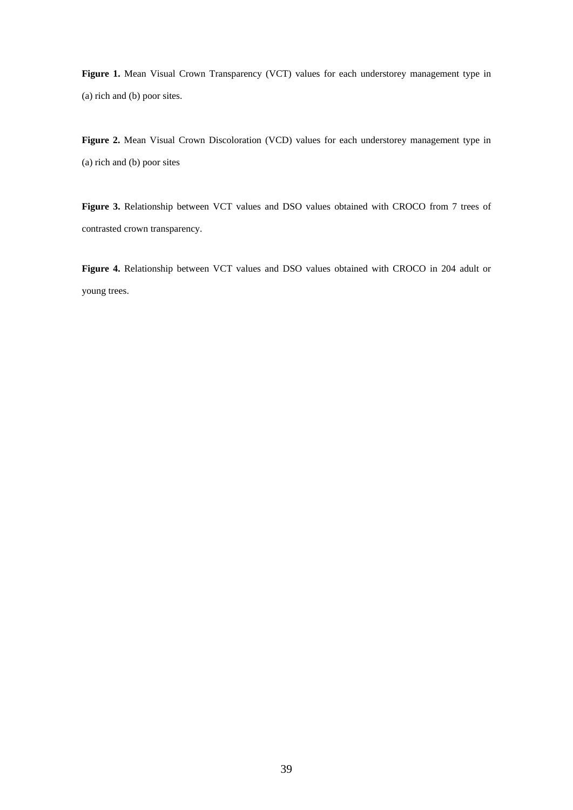Figure 1. Mean Visual Crown Transparency (VCT) values for each understorey management type in (a) rich and (b) poor sites.

**Figure 2.** Mean Visual Crown Discoloration (VCD) values for each understorey management type in (a) rich and (b) poor sites

Figure 3. Relationship between VCT values and DSO values obtained with CROCO from 7 trees of contrasted crown transparency.

**Figure 4.** Relationship between VCT values and DSO values obtained with CROCO in 204 adult or young trees.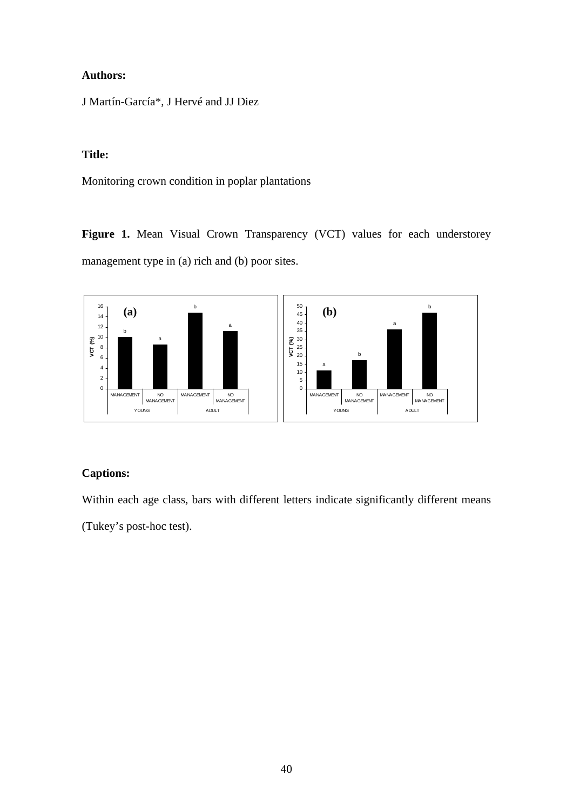J Martín-García\*, J Hervé and JJ Diez

# **Title:**

Monitoring crown condition in poplar plantations

Figure 1. Mean Visual Crown Transparency (VCT) values for each understorey management type in (a) rich and (b) poor sites.



# **Captions:**

Within each age class, bars with different letters indicate significantly different means

(Tukey's post-hoc test).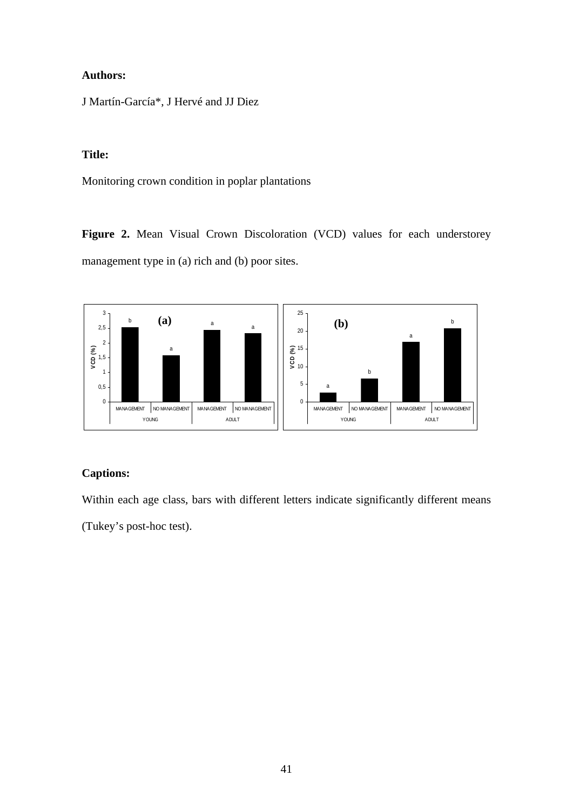J Martín-García\*, J Hervé and JJ Diez

# **Title:**

Monitoring crown condition in poplar plantations

Figure 2. Mean Visual Crown Discoloration (VCD) values for each understorey management type in (a) rich and (b) poor sites.



# **Captions:**

Within each age class, bars with different letters indicate significantly different means

(Tukey's post-hoc test).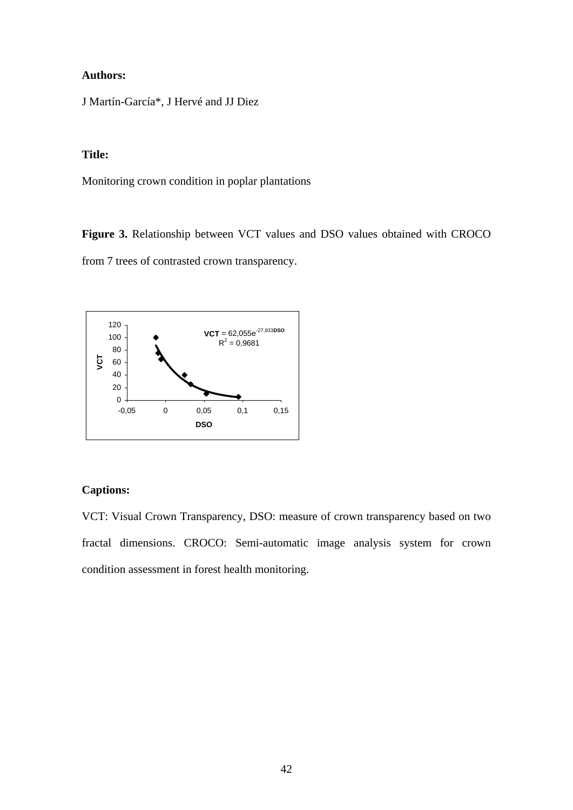J Martín-García\*, J Hervé and JJ Diez

# **Title:**

Monitoring crown condition in poplar plantations

**Figure 3.** Relationship between VCT values and DSO values obtained with CROCO from 7 trees of contrasted crown transparency.



# **Captions:**

VCT: Visual Crown Transparency, DSO: measure of crown transparency based on two fractal dimensions. CROCO: Semi-automatic image analysis system for crown condition assessment in forest health monitoring.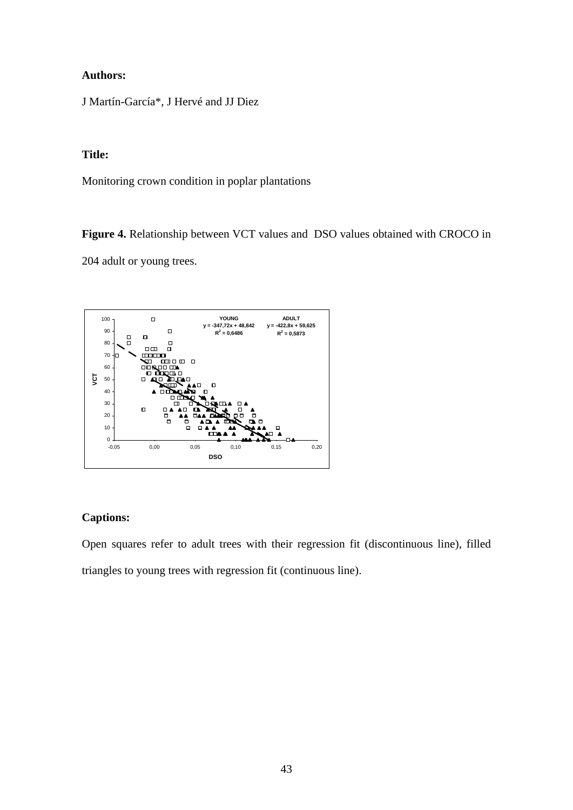J Martín-García\*, J Hervé and JJ Diez

# **Title:**

Monitoring crown condition in poplar plantations

**Figure 4.** Relationship between VCT values and DSO values obtained with CROCO in 204 adult or young trees.



# **Captions:**

Open squares refer to adult trees with their regression fit (discontinuous line), filled triangles to young trees with regression fit (continuous line).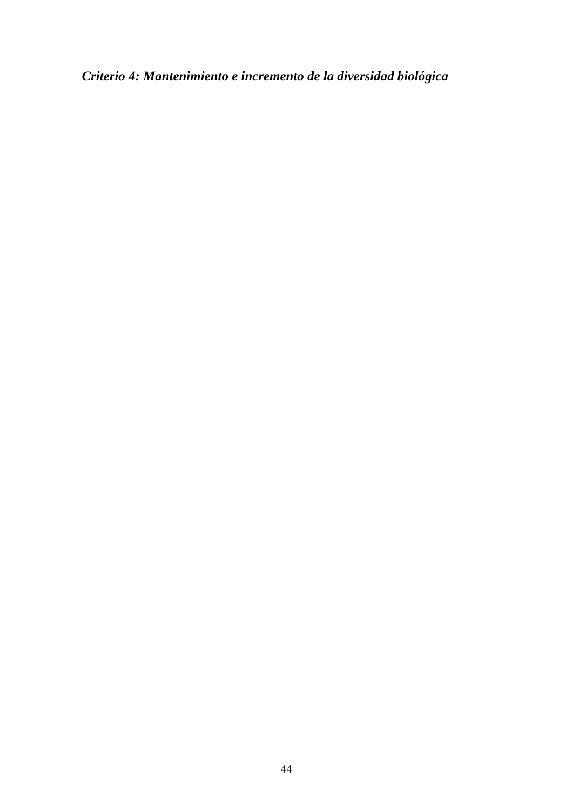*Criterio 4: Mantenimiento e incremento de la diversidad biológica*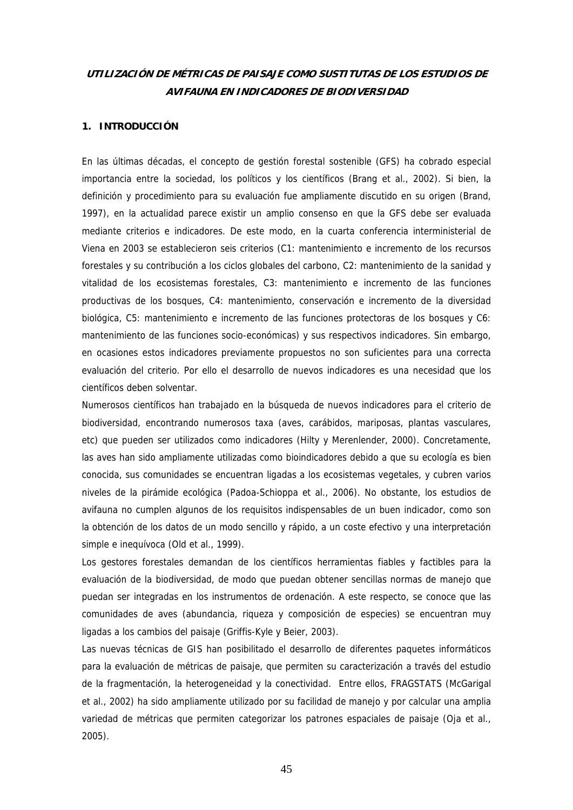# **UTILIZACIÓN DE MÉTRICAS DE PAISAJE COMO SUSTITUTAS DE LOS ESTUDIOS DE AVIFAUNA EN INDICADORES DE BIODIVERSIDAD**

### **1. INTRODUCCIÓN**

En las últimas décadas, el concepto de gestión forestal sostenible (GFS) ha cobrado especial importancia entre la sociedad, los políticos y los científicos (Brang et al., 2002). Si bien, la definición y procedimiento para su evaluación fue ampliamente discutido en su origen (Brand, 1997), en la actualidad parece existir un amplio consenso en que la GFS debe ser evaluada mediante criterios e indicadores. De este modo, en la cuarta conferencia interministerial de Viena en 2003 se establecieron seis criterios (C1: mantenimiento e incremento de los recursos forestales y su contribución a los ciclos globales del carbono, C2: mantenimiento de la sanidad y vitalidad de los ecosistemas forestales, C3: mantenimiento e incremento de las funciones productivas de los bosques, C4: mantenimiento, conservación e incremento de la diversidad biológica, C5: mantenimiento e incremento de las funciones protectoras de los bosques y C6: mantenimiento de las funciones socio-económicas) y sus respectivos indicadores. Sin embargo, en ocasiones estos indicadores previamente propuestos no son suficientes para una correcta evaluación del criterio. Por ello el desarrollo de nuevos indicadores es una necesidad que los científicos deben solventar.

Numerosos científicos han trabajado en la búsqueda de nuevos indicadores para el criterio de biodiversidad, encontrando numerosos taxa (aves, carábidos, mariposas, plantas vasculares, etc) que pueden ser utilizados como indicadores (Hilty y Merenlender, 2000). Concretamente, las aves han sido ampliamente utilizadas como bioindicadores debido a que su ecología es bien conocida, sus comunidades se encuentran ligadas a los ecosistemas vegetales, y cubren varios niveles de la pirámide ecológica (Padoa-Schioppa et al., 2006). No obstante, los estudios de avifauna no cumplen algunos de los requisitos indispensables de un buen indicador, como son la obtención de los datos de un modo sencillo y rápido, a un coste efectivo y una interpretación simple e inequívoca (Old et al., 1999).

Los gestores forestales demandan de los científicos herramientas fiables y factibles para la evaluación de la biodiversidad, de modo que puedan obtener sencillas normas de manejo que puedan ser integradas en los instrumentos de ordenación. A este respecto, se conoce que las comunidades de aves (abundancia, riqueza y composición de especies) se encuentran muy ligadas a los cambios del paisaje (Griffis-Kyle y Beier, 2003).

Las nuevas técnicas de GIS han posibilitado el desarrollo de diferentes paquetes informáticos para la evaluación de métricas de paisaje, que permiten su caracterización a través del estudio de la fragmentación, la heterogeneidad y la conectividad. Entre ellos, FRAGSTATS (McGarigal et al., 2002) ha sido ampliamente utilizado por su facilidad de manejo y por calcular una amplia variedad de métricas que permiten categorizar los patrones espaciales de paisaje (Oja et al., 2005).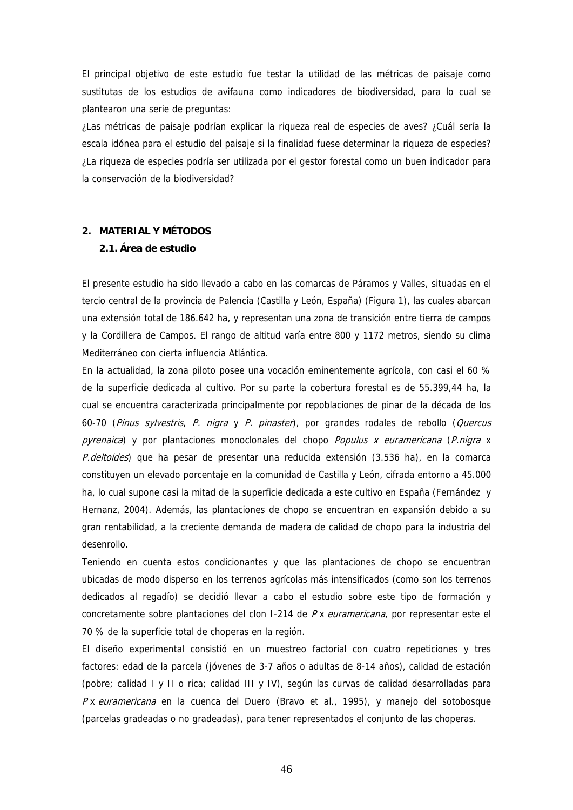El principal objetivo de este estudio fue testar la utilidad de las métricas de paisaje como sustitutas de los estudios de avifauna como indicadores de biodiversidad, para lo cual se plantearon una serie de preguntas:

¿Las métricas de paisaje podrían explicar la riqueza real de especies de aves? ¿Cuál sería la escala idónea para el estudio del paisaje si la finalidad fuese determinar la riqueza de especies? ¿La riqueza de especies podría ser utilizada por el gestor forestal como un buen indicador para la conservación de la biodiversidad?

# **2. MATERIAL Y MÉTODOS**

# **2.1. Área de estudio**

El presente estudio ha sido llevado a cabo en las comarcas de Páramos y Valles, situadas en el tercio central de la provincia de Palencia (Castilla y León, España) (Figura 1), las cuales abarcan una extensión total de 186.642 ha, y representan una zona de transición entre tierra de campos y la Cordillera de Campos. El rango de altitud varía entre 800 y 1172 metros, siendo su clima Mediterráneo con cierta influencia Atlántica.

En la actualidad, la zona piloto posee una vocación eminentemente agrícola, con casi el 60 % de la superficie dedicada al cultivo. Por su parte la cobertura forestal es de 55.399,44 ha, la cual se encuentra caracterizada principalmente por repoblaciones de pinar de la década de los 60-70 (Pinus sylvestris, P. nigra y P. pinaster), por grandes rodales de rebollo (Quercus  $pyrenaica$  y por plantaciones monoclonales del chopo *Populus x euramericana* (*P.nigra* x P.deltoides) que ha pesar de presentar una reducida extensión (3.536 ha), en la comarca constituyen un elevado porcentaje en la comunidad de Castilla y León, cifrada entorno a 45.000 ha, lo cual supone casi la mitad de la superficie dedicada a este cultivo en España (Fernández y Hernanz, 2004). Además, las plantaciones de chopo se encuentran en expansión debido a su gran rentabilidad, a la creciente demanda de madera de calidad de chopo para la industria del desenrollo.

Teniendo en cuenta estos condicionantes y que las plantaciones de chopo se encuentran ubicadas de modo disperso en los terrenos agrícolas más intensificados (como son los terrenos dedicados al regadío) se decidió llevar a cabo el estudio sobre este tipo de formación y concretamente sobre plantaciones del clon  $I-214$  de  $Px$  euramericana, por representar este el 70 % de la superficie total de choperas en la región.

El diseño experimental consistió en un muestreo factorial con cuatro repeticiones y tres factores: edad de la parcela (jóvenes de 3-7 años o adultas de 8-14 años), calidad de estación (pobre; calidad I y II o rica; calidad III y IV), según las curvas de calidad desarrolladas para P x euramericana en la cuenca del Duero (Bravo et al., 1995), y manejo del sotobosque (parcelas gradeadas o no gradeadas), para tener representados el conjunto de las choperas.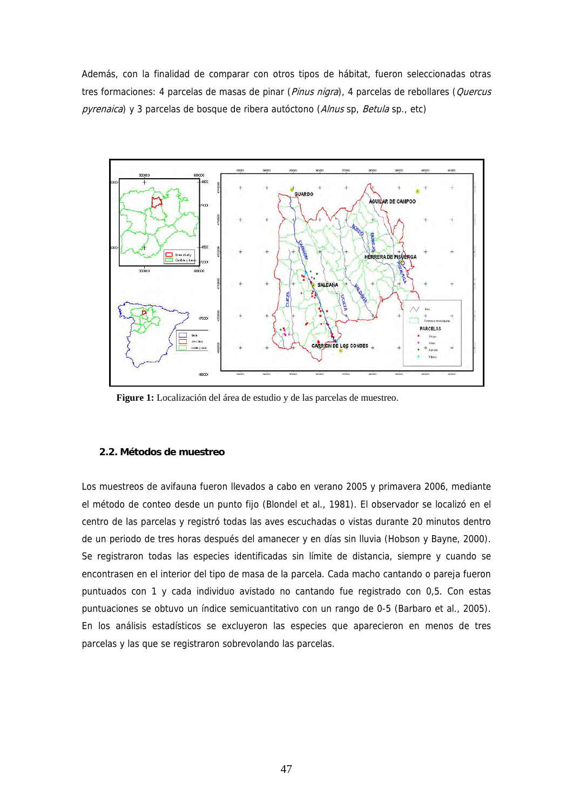Además, con la finalidad de comparar con otros tipos de hábitat, fueron seleccionadas otras tres formaciones: 4 parcelas de masas de pinar (Pinus nigra), 4 parcelas de rebollares (Quercus pyrenaica) y 3 parcelas de bosque de ribera autóctono (Alnus sp, Betula sp., etc)



**Figure 1:** Localización del área de estudio y de las parcelas de muestreo.

### **2.2. Métodos de muestreo**

Los muestreos de avifauna fueron llevados a cabo en verano 2005 y primavera 2006, mediante el método de conteo desde un punto fijo (Blondel et al., 1981). El observador se localizó en el centro de las parcelas y registró todas las aves escuchadas o vistas durante 20 minutos dentro de un periodo de tres horas después del amanecer y en días sin lluvia (Hobson y Bayne, 2000). Se registraron todas las especies identificadas sin límite de distancia, siempre y cuando se encontrasen en el interior del tipo de masa de la parcela. Cada macho cantando o pareja fueron puntuados con 1 y cada individuo avistado no cantando fue registrado con 0,5. Con estas puntuaciones se obtuvo un índice semicuantitativo con un rango de 0-5 (Barbaro et al., 2005). En los análisis estadísticos se excluyeron las especies que aparecieron en menos de tres parcelas y las que se registraron sobrevolando las parcelas.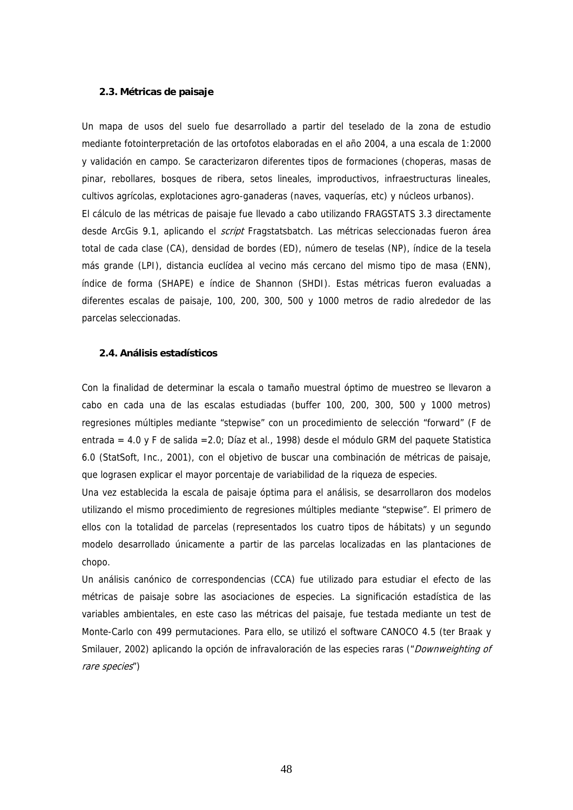### **2.3. Métricas de paisaje**

Un mapa de usos del suelo fue desarrollado a partir del teselado de la zona de estudio mediante fotointerpretación de las ortofotos elaboradas en el año 2004, a una escala de 1:2000 y validación en campo. Se caracterizaron diferentes tipos de formaciones (choperas, masas de pinar, rebollares, bosques de ribera, setos lineales, improductivos, infraestructuras lineales, cultivos agrícolas, explotaciones agro-ganaderas (naves, vaquerías, etc) y núcleos urbanos). El cálculo de las métricas de paisaje fue llevado a cabo utilizando FRAGSTATS 3.3 directamente desde ArcGis 9.1, aplicando el *script* Fragstatsbatch. Las métricas seleccionadas fueron área total de cada clase (CA), densidad de bordes (ED), número de teselas (NP), índice de la tesela más grande (LPI), distancia euclídea al vecino más cercano del mismo tipo de masa (ENN), índice de forma (SHAPE) e índice de Shannon (SHDI). Estas métricas fueron evaluadas a diferentes escalas de paisaje, 100, 200, 300, 500 y 1000 metros de radio alrededor de las parcelas seleccionadas.

### **2.4. Análisis estadísticos**

Con la finalidad de determinar la escala o tamaño muestral óptimo de muestreo se llevaron a cabo en cada una de las escalas estudiadas (buffer 100, 200, 300, 500 y 1000 metros) regresiones múltiples mediante "stepwise" con un procedimiento de selección "forward" (F de entrada = 4.0 y F de salida =2.0; Díaz et al., 1998) desde el módulo GRM del paquete Statistica 6.0 (StatSoft, Inc., 2001), con el objetivo de buscar una combinación de métricas de paisaje, que lograsen explicar el mayor porcentaje de variabilidad de la riqueza de especies.

Una vez establecida la escala de paisaje óptima para el análisis, se desarrollaron dos modelos utilizando el mismo procedimiento de regresiones múltiples mediante "stepwise". El primero de ellos con la totalidad de parcelas (representados los cuatro tipos de hábitats) y un segundo modelo desarrollado únicamente a partir de las parcelas localizadas en las plantaciones de chopo.

Un análisis canónico de correspondencias (CCA) fue utilizado para estudiar el efecto de las métricas de paisaje sobre las asociaciones de especies. La significación estadística de las variables ambientales, en este caso las métricas del paisaje, fue testada mediante un test de Monte-Carlo con 499 permutaciones. Para ello, se utilizó el software CANOCO 4.5 (ter Braak y Smilauer, 2002) aplicando la opción de infravaloración de las especies raras ("Downweighting of rare species")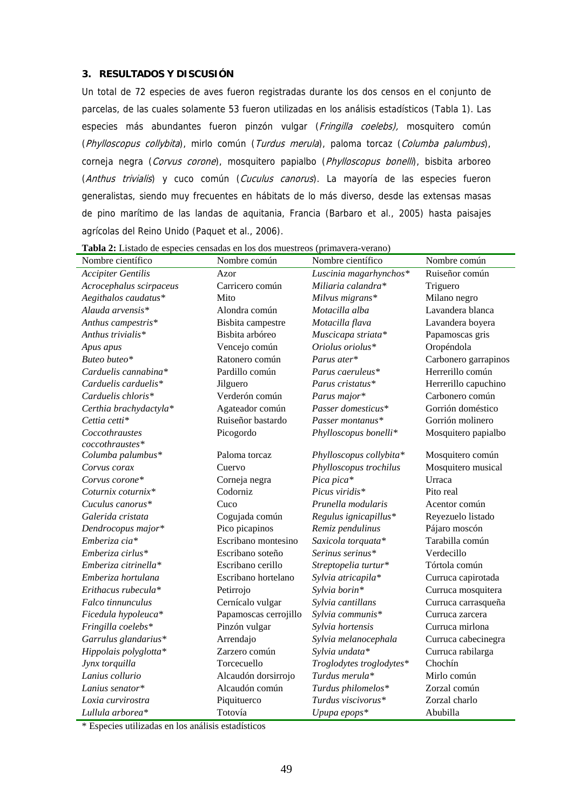# **3. RESULTADOS Y DISCUSIÓN**

Un total de 72 especies de aves fueron registradas durante los dos censos en el conjunto de parcelas, de las cuales solamente 53 fueron utilizadas en los análisis estadísticos (Tabla 1). Las especies más abundantes fueron pinzón vulgar (Fringilla coelebs), mosquitero común (Phylloscopus collybita), mirlo común (Turdus merula), paloma torcaz (Columba palumbus), corneja negra (Corvus corone), mosquitero papialbo (Phylloscopus bonelli), bisbita arboreo (Anthus trivialis) y cuco común (Cuculus canorus). La mayoría de las especies fueron generalistas, siendo muy frecuentes en hábitats de lo más diverso, desde las extensas masas de pino marítimo de las landas de aquitania, Francia (Barbaro et al., 2005) hasta paisajes agrícolas del Reino Unido (Paquet et al., 2006).

| Nombre científico         | Nombre común          | Nombre científico        | Nombre común         |
|---------------------------|-----------------------|--------------------------|----------------------|
| <b>Accipiter Gentilis</b> | Azor                  | Luscinia magarhynchos*   | Ruiseñor común       |
| Acrocephalus scirpaceus   | Carricero común       | Miliaria calandra*       | Triguero             |
| Aegithalos caudatus*      | Mito                  | Milvus migrans*          | Milano negro         |
| Alauda arvensis*          | Alondra común         | Motacilla alba           | Lavandera blanca     |
| Anthus campestris*        | Bisbita campestre     | Motacilla flava          | Lavandera boyera     |
| Anthus trivialis*         | Bisbita arbóreo       | Muscicapa striata*       | Papamoscas gris      |
| Apus apus                 | Vencejo común         | Oriolus oriolus*         | Oropéndola           |
| Buteo buteo*              | Ratonero común        | Parus ater*              | Carbonero garrapinos |
| Carduelis cannabina*      | Pardillo común        | Parus caeruleus*         | Herrerillo común     |
| Carduelis carduelis*      | Jilguero              | Parus cristatus*         | Herrerillo capuchino |
| Carduelis chloris*        | Verderón común        | Parus major*             | Carbonero común      |
| Certhia brachydactyla*    | Agateador común       | Passer domesticus*       | Gorrión doméstico    |
| Cettia cetti*             | Ruiseñor bastardo     | Passer montanus*         | Gorrión molinero     |
| Coccothraustes            | Picogordo             | Phylloscopus bonelli*    | Mosquitero papialbo  |
| coccothraustes*           |                       |                          |                      |
| Columba palumbus*         | Paloma torcaz         | Phylloscopus collybita*  | Mosquitero común     |
| Corvus corax              | Cuervo                | Phylloscopus trochilus   | Mosquitero musical   |
| Corvus corone*            | Corneja negra         | Pica pica*               | Urraca               |
| Coturnix coturnix*        | Codorniz              | Picus viridis*           | Pito real            |
| Cuculus canorus*          | Cuco                  | Prunella modularis       | Acentor común        |
| Galerida cristata         | Cogujada común        | Regulus ignicapillus*    | Reyezuelo listado    |
| Dendrocopus major*        | Pico picapinos        | Remiz pendulinus         | Pájaro moscón        |
| Emberiza cia*             | Escribano montesino   | Saxicola torquata*       | Tarabilla común      |
| Emberiza cirlus*          | Escribano soteño      | Serinus serinus*         | Verdecillo           |
| Emberiza citrinella*      | Escribano cerillo     | Streptopelia turtur*     | Tórtola común        |
| Emberiza hortulana        | Escribano hortelano   | Sylvia atricapila*       | Curruca capirotada   |
| Erithacus rubecula*       | Petirrojo             | Sylvia borin*            | Curruca mosquitera   |
| <i>Falco tinnunculus</i>  | Cernícalo vulgar      | Sylvia cantillans        | Curruca carrasqueña  |
| Ficedula hypoleuca*       | Papamoscas cerrojillo | Sylvia communis*         | Curruca zarcera      |
| Fringilla coelebs*        | Pinzón vulgar         | Sylvia hortensis         | Curruca mirlona      |
| Garrulus glandarius*      | Arrendajo             | Sylvia melanocephala     | Curruca cabecinegra  |
| Hippolais polyglotta*     | Zarzero común         | Sylvia undata*           | Curruca rabilarga    |
| Jynx torquilla            | Torcecuello           | Troglodytes troglodytes* | Chochín              |
| Lanius collurio           | Alcaudón dorsirrojo   | Turdus merula*           | Mirlo común          |
| Lanius senator*           | Alcaudón común        | Turdus philomelos*       | Zorzal común         |
| Loxia curvirostra         | Piquituerco           | Turdus viscivorus*       | Zorzal charlo        |
| Lullula arborea*          | Totovía               | Upupa epops*             | Abubilla             |

**Tabla 2:** Listado de especies censadas en los dos muestreos (primavera-verano)

\* Especies utilizadas en los análisis estadísticos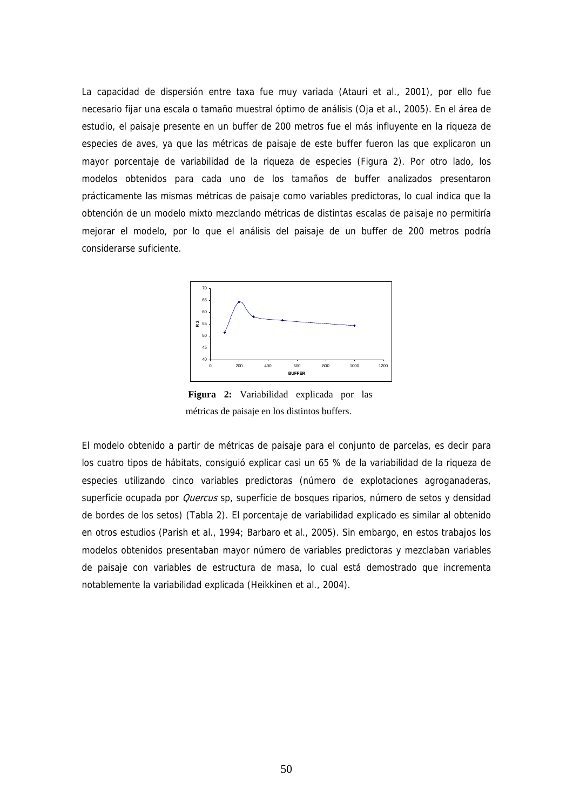La capacidad de dispersión entre taxa fue muy variada (Atauri et al., 2001), por ello fue necesario fijar una escala o tamaño muestral óptimo de análisis (Oja et al., 2005). En el área de estudio, el paisaje presente en un buffer de 200 metros fue el más influyente en la riqueza de especies de aves, ya que las métricas de paisaje de este buffer fueron las que explicaron un mayor porcentaje de variabilidad de la riqueza de especies (Figura 2). Por otro lado, los modelos obtenidos para cada uno de los tamaños de buffer analizados presentaron prácticamente las mismas métricas de paisaje como variables predictoras, lo cual indica que la obtención de un modelo mixto mezclando métricas de distintas escalas de paisaje no permitiría mejorar el modelo, por lo que el análisis del paisaje de un buffer de 200 metros podría considerarse suficiente.



 **Figura 2:** Variabilidad explicada por las métricas de paisaje en los distintos buffers.

El modelo obtenido a partir de métricas de paisaje para el conjunto de parcelas, es decir para los cuatro tipos de hábitats, consiguió explicar casi un 65 % de la variabilidad de la riqueza de especies utilizando cinco variables predictoras (número de explotaciones agroganaderas, superficie ocupada por Quercus sp, superficie de bosques riparios, número de setos y densidad de bordes de los setos) (Tabla 2). El porcentaje de variabilidad explicado es similar al obtenido en otros estudios (Parish et al., 1994; Barbaro et al., 2005). Sin embargo, en estos trabajos los modelos obtenidos presentaban mayor número de variables predictoras y mezclaban variables de paisaje con variables de estructura de masa, lo cual está demostrado que incrementa notablemente la variabilidad explicada (Heikkinen et al., 2004).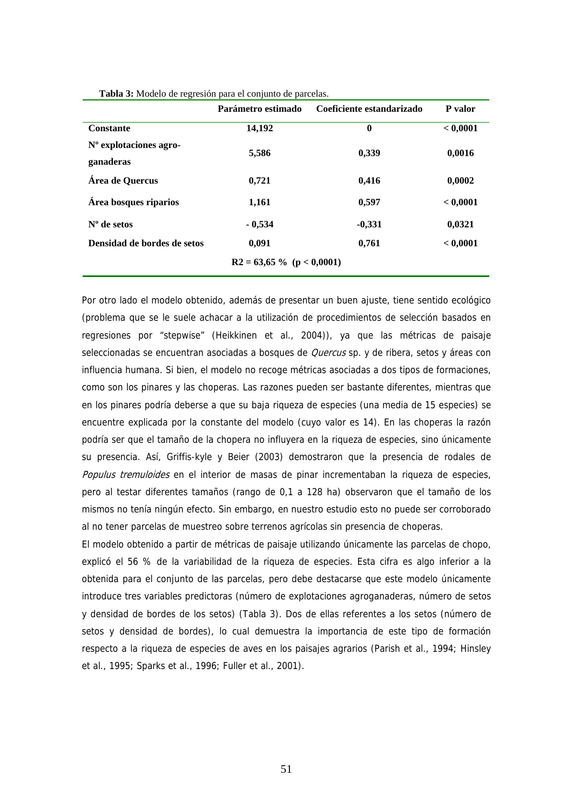|                                       | Parámetro estimado          | Coeficiente estandarizado | P valor  |
|---------------------------------------|-----------------------------|---------------------------|----------|
| <b>Constante</b>                      | 14,192                      | $\bf{0}$                  | < 0,0001 |
| $No$ explotaciones agro-<br>ganaderas | 5,586                       | 0,339                     | 0,0016   |
| Área de Quercus                       | 0,721                       | 0,416                     | 0,0002   |
| Área bosques riparios                 | 1,161                       | 0,597                     | < 0,0001 |
| $No$ de setos                         | $-0,534$                    | $-0,331$                  | 0,0321   |
| Densidad de bordes de setos           | 0,091                       | 0,761                     | < 0,0001 |
|                                       | $R2 = 63,65\%$ (p < 0,0001) |                           |          |

**Tabla 3:** Modelo de regresión para el conjunto de parcelas.

Por otro lado el modelo obtenido, además de presentar un buen ajuste, tiene sentido ecológico (problema que se le suele achacar a la utilización de procedimientos de selección basados en regresiones por "stepwise" (Heikkinen et al., 2004)), ya que las métricas de paisaje seleccionadas se encuentran asociadas a bosques de *Quercus* sp. y de ribera, setos y áreas con influencia humana. Si bien, el modelo no recoge métricas asociadas a dos tipos de formaciones, como son los pinares y las choperas. Las razones pueden ser bastante diferentes, mientras que en los pinares podría deberse a que su baja riqueza de especies (una media de 15 especies) se encuentre explicada por la constante del modelo (cuyo valor es 14). En las choperas la razón podría ser que el tamaño de la chopera no influyera en la riqueza de especies, sino únicamente su presencia. Así, Griffis-kyle y Beier (2003) demostraron que la presencia de rodales de Populus tremuloides en el interior de masas de pinar incrementaban la riqueza de especies, pero al testar diferentes tamaños (rango de 0,1 a 128 ha) observaron que el tamaño de los mismos no tenía ningún efecto. Sin embargo, en nuestro estudio esto no puede ser corroborado al no tener parcelas de muestreo sobre terrenos agrícolas sin presencia de choperas.

El modelo obtenido a partir de métricas de paisaje utilizando únicamente las parcelas de chopo, explicó el 56 % de la variabilidad de la riqueza de especies. Esta cifra es algo inferior a la obtenida para el conjunto de las parcelas, pero debe destacarse que este modelo únicamente introduce tres variables predictoras (número de explotaciones agroganaderas, número de setos y densidad de bordes de los setos) (Tabla 3). Dos de ellas referentes a los setos (número de setos y densidad de bordes), lo cual demuestra la importancia de este tipo de formación respecto a la riqueza de especies de aves en los paisajes agrarios (Parish et al., 1994; Hinsley et al., 1995; Sparks et al., 1996; Fuller et al., 2001).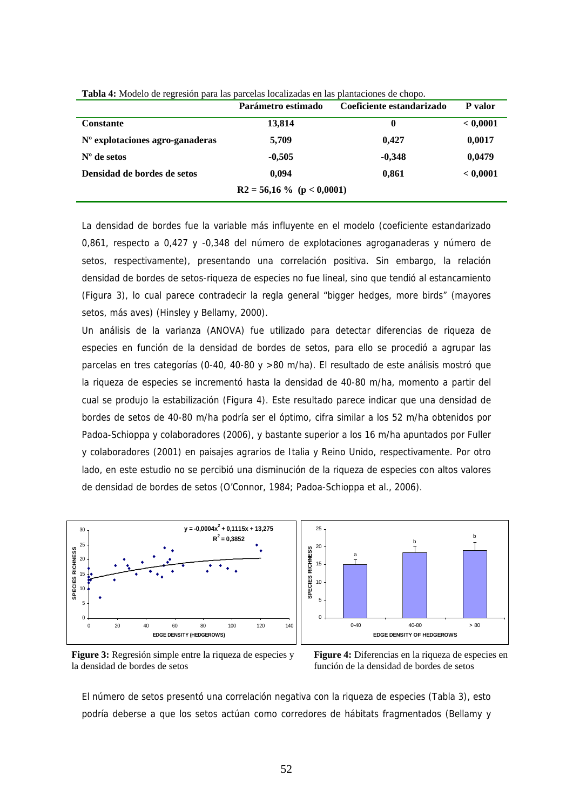|                                 | Parámetro estimado | Coeficiente estandarizado | P valor  |  |
|---------------------------------|--------------------|---------------------------|----------|--|
| <b>Constante</b>                | 13,814             | 0                         | < 0.0001 |  |
| N° explotaciones agro-ganaderas | 5,709              | 0.427                     | 0,0017   |  |
| $No$ de setos                   | $-0.505$           | $-0.348$                  | 0,0479   |  |
| Densidad de bordes de setos     | 0.094              | 0.861                     | < 0,0001 |  |
| $R2 = 56,16\%$ (p < 0,0001)     |                    |                           |          |  |

**Tabla 4:** Modelo de regresión para las parcelas localizadas en las plantaciones de chopo.

La densidad de bordes fue la variable más influyente en el modelo (coeficiente estandarizado 0,861, respecto a 0,427 y -0,348 del número de explotaciones agroganaderas y número de setos, respectivamente), presentando una correlación positiva. Sin embargo, la relación densidad de bordes de setos-riqueza de especies no fue lineal, sino que tendió al estancamiento (Figura 3), lo cual parece contradecir la regla general "bigger hedges, more birds" (mayores setos, más aves) (Hinsley y Bellamy, 2000).

Un análisis de la varianza (ANOVA) fue utilizado para detectar diferencias de riqueza de especies en función de la densidad de bordes de setos, para ello se procedió a agrupar las parcelas en tres categorías (0-40, 40-80 y >80 m/ha). El resultado de este análisis mostró que la riqueza de especies se incrementó hasta la densidad de 40-80 m/ha, momento a partir del cual se produjo la estabilización (Figura 4). Este resultado parece indicar que una densidad de bordes de setos de 40-80 m/ha podría ser el óptimo, cifra similar a los 52 m/ha obtenidos por Padoa-Schioppa y colaboradores (2006), y bastante superior a los 16 m/ha apuntados por Fuller y colaboradores (2001) en paisajes agrarios de Italia y Reino Unido, respectivamente. Por otro lado, en este estudio no se percibió una disminución de la riqueza de especies con altos valores de densidad de bordes de setos (O'Connor, 1984; Padoa-Schioppa et al., 2006).





**Figure 3:** Regresión simple entre la riqueza de especies y la densidad de bordes de setos

**Figure 4:** Diferencias en la riqueza de especies en función de la densidad de bordes de setos

El número de setos presentó una correlación negativa con la riqueza de especies (Tabla 3), esto podría deberse a que los setos actúan como corredores de hábitats fragmentados (Bellamy y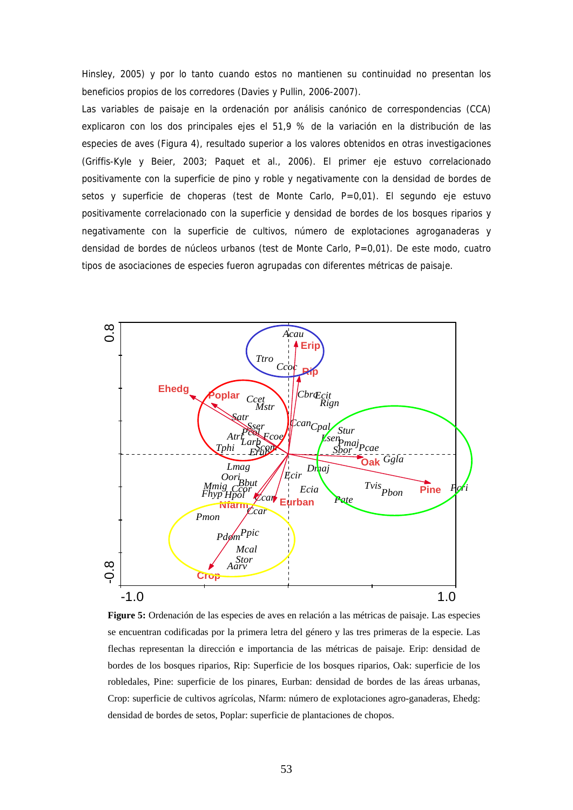Hinsley, 2005) y por lo tanto cuando estos no mantienen su continuidad no presentan los beneficios propios de los corredores (Davies y Pullin, 2006-2007).

Las variables de paisaje en la ordenación por análisis canónico de correspondencias (CCA) explicaron con los dos principales ejes el 51,9 % de la variación en la distribución de las especies de aves (Figura 4), resultado superior a los valores obtenidos en otras investigaciones (Griffis-Kyle y Beier, 2003; Paquet et al., 2006). El primer eje estuvo correlacionado positivamente con la superficie de pino y roble y negativamente con la densidad de bordes de setos y superficie de choperas (test de Monte Carlo, P=0,01). El segundo eje estuvo positivamente correlacionado con la superficie y densidad de bordes de los bosques riparios y negativamente con la superficie de cultivos, número de explotaciones agroganaderas y densidad de bordes de núcleos urbanos (test de Monte Carlo, P=0,01). De este modo, cuatro tipos de asociaciones de especies fueron agrupadas con diferentes métricas de paisaje.



**Figure 5:** Ordenación de las especies de aves en relación a las métricas de paisaje. Las especies se encuentran codificadas por la primera letra del género y las tres primeras de la especie. Las flechas representan la dirección e importancia de las métricas de paisaje. Erip: densidad de bordes de los bosques riparios, Rip: Superficie de los bosques riparios, Oak: superficie de los robledales, Pine: superficie de los pinares, Eurban: densidad de bordes de las áreas urbanas, Crop: superficie de cultivos agrícolas, Nfarm: número de explotaciones agro-ganaderas, Ehedg: densidad de bordes de setos, Poplar: superficie de plantaciones de chopos.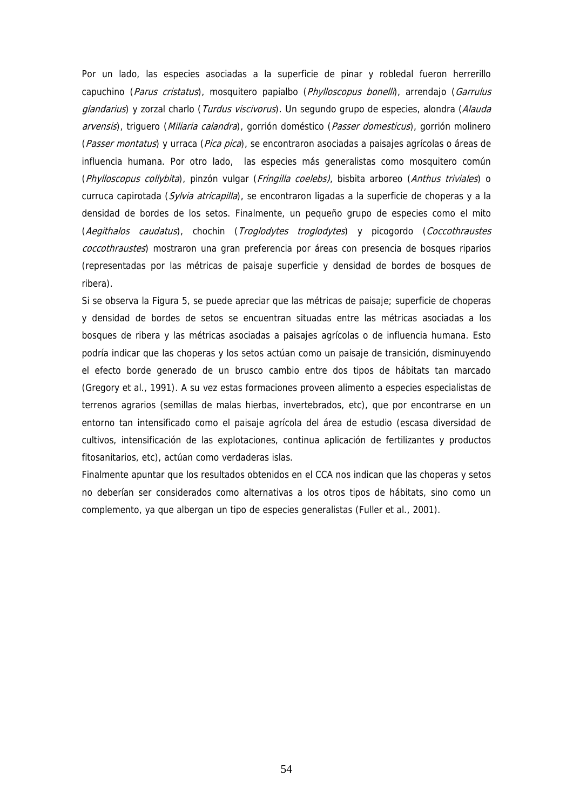Por un lado, las especies asociadas a la superficie de pinar y robledal fueron herrerillo capuchino (Parus cristatus), mosquitero papialbo (Phylloscopus bonelli), arrendajo (Garrulus glandarius) y zorzal charlo (Turdus viscivorus). Un segundo grupo de especies, alondra (Alauda arvensis), triguero (Miliaria calandra), gorrión doméstico (Passer domesticus), gorrión molinero (Passer montatus) y urraca (Pica pica), se encontraron asociadas a paisajes agrícolas o áreas de influencia humana. Por otro lado, las especies más generalistas como mosquitero común (Phylloscopus collybita), pinzón vulgar (Fringilla coelebs), bisbita arboreo (Anthus triviales) o curruca capirotada (Sylvia atricapilla), se encontraron ligadas a la superficie de choperas y a la densidad de bordes de los setos. Finalmente, un pequeño grupo de especies como el mito (Aegithalos caudatus), chochin (Troglodytes troglodytes) y picogordo (Coccothraustes coccothraustes) mostraron una gran preferencia por áreas con presencia de bosques riparios (representadas por las métricas de paisaje superficie y densidad de bordes de bosques de ribera).

Si se observa la Figura 5, se puede apreciar que las métricas de paisaje; superficie de choperas y densidad de bordes de setos se encuentran situadas entre las métricas asociadas a los bosques de ribera y las métricas asociadas a paisajes agrícolas o de influencia humana. Esto podría indicar que las choperas y los setos actúan como un paisaje de transición, disminuyendo el efecto borde generado de un brusco cambio entre dos tipos de hábitats tan marcado (Gregory et al., 1991). A su vez estas formaciones proveen alimento a especies especialistas de terrenos agrarios (semillas de malas hierbas, invertebrados, etc), que por encontrarse en un entorno tan intensificado como el paisaje agrícola del área de estudio (escasa diversidad de cultivos, intensificación de las explotaciones, continua aplicación de fertilizantes y productos fitosanitarios, etc), actúan como verdaderas islas.

Finalmente apuntar que los resultados obtenidos en el CCA nos indican que las choperas y setos no deberían ser considerados como alternativas a los otros tipos de hábitats, sino como un complemento, ya que albergan un tipo de especies generalistas (Fuller et al., 2001).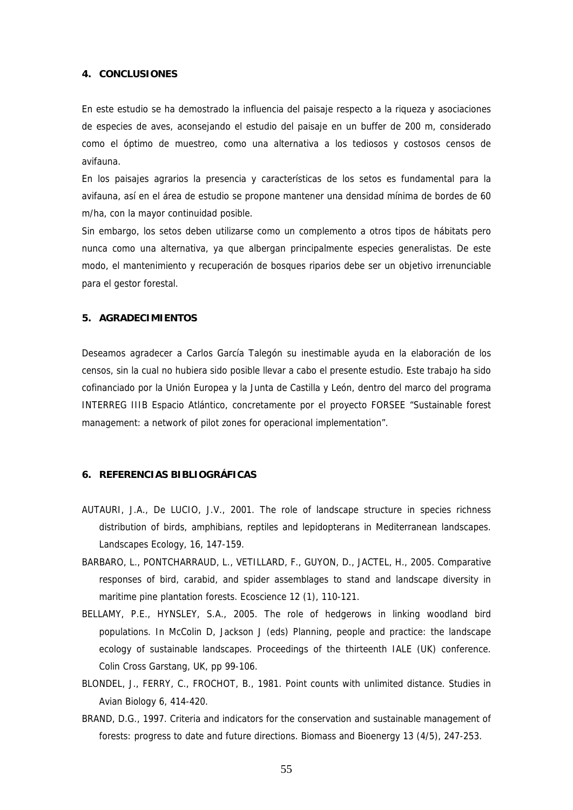### **4. CONCLUSIONES**

En este estudio se ha demostrado la influencia del paisaje respecto a la riqueza y asociaciones de especies de aves, aconsejando el estudio del paisaje en un buffer de 200 m, considerado como el óptimo de muestreo, como una alternativa a los tediosos y costosos censos de avifauna.

En los paisajes agrarios la presencia y características de los setos es fundamental para la avifauna, así en el área de estudio se propone mantener una densidad mínima de bordes de 60 m/ha, con la mayor continuidad posible.

Sin embargo, los setos deben utilizarse como un complemento a otros tipos de hábitats pero nunca como una alternativa, ya que albergan principalmente especies generalistas. De este modo, el mantenimiento y recuperación de bosques riparios debe ser un objetivo irrenunciable para el gestor forestal.

### **5. AGRADECIMIENTOS**

Deseamos agradecer a Carlos García Talegón su inestimable ayuda en la elaboración de los censos, sin la cual no hubiera sido posible llevar a cabo el presente estudio. Este trabajo ha sido cofinanciado por la Unión Europea y la Junta de Castilla y León, dentro del marco del programa INTERREG IIIB Espacio Atlántico, concretamente por el proyecto FORSEE "Sustainable forest management: a network of pilot zones for operacional implementation".

### **6. REFERENCIAS BIBLIOGRÁFICAS**

- AUTAURI, J.A., De LUCIO, J.V., 2001. The role of landscape structure in species richness distribution of birds, amphibians, reptiles and lepidopterans in Mediterranean landscapes. Landscapes Ecology, 16, 147-159.
- BARBARO, L., PONTCHARRAUD, L., VETILLARD, F., GUYON, D., JACTEL, H., 2005. Comparative responses of bird, carabid, and spider assemblages to stand and landscape diversity in maritime pine plantation forests. Ecoscience 12 (1), 110-121.
- BELLAMY, P.E., HYNSLEY, S.A., 2005. The role of hedgerows in linking woodland bird populations. In McColin D, Jackson J (eds) Planning, people and practice: the landscape ecology of sustainable landscapes. Proceedings of the thirteenth IALE (UK) conference. Colin Cross Garstang, UK, pp 99-106.
- BLONDEL, J., FERRY, C., FROCHOT, B., 1981. Point counts with unlimited distance. Studies in Avian Biology 6, 414-420.
- BRAND, D.G., 1997. Criteria and indicators for the conservation and sustainable management of forests: progress to date and future directions. Biomass and Bioenergy 13 (4/5), 247-253.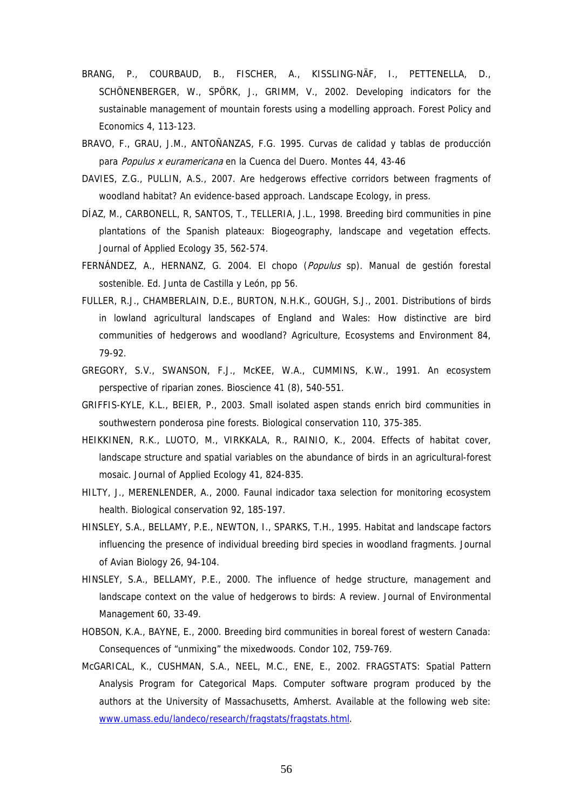- BRANG, P., COURBAUD, B., FISCHER, A., KISSLING-NÄF, I., PETTENELLA, D., SCHÖNENBERGER, W., SPÖRK, J., GRIMM, V., 2002. Developing indicators for the sustainable management of mountain forests using a modelling approach. Forest Policy and Economics 4, 113-123.
- BRAVO, F., GRAU, J.M., ANTOÑANZAS, F.G. 1995. Curvas de calidad y tablas de producción para Populus x euramericana en la Cuenca del Duero. Montes 44, 43-46
- DAVIES, Z.G., PULLIN, A.S., 2007. Are hedgerows effective corridors between fragments of woodland habitat? An evidence-based approach. Landscape Ecology, in press.
- DÍAZ, M., CARBONELL, R, SANTOS, T., TELLERIA, J.L., 1998. Breeding bird communities in pine plantations of the Spanish plateaux: Biogeography, landscape and vegetation effects. Journal of Applied Ecology 35, 562-574.
- FERNÁNDEZ, A., HERNANZ, G. 2004. El chopo (*Populus* sp). Manual de gestión forestal sostenible. Ed. Junta de Castilla y León, pp 56.
- FULLER, R.J., CHAMBERLAIN, D.E., BURTON, N.H.K., GOUGH, S.J., 2001. Distributions of birds in lowland agricultural landscapes of England and Wales: How distinctive are bird communities of hedgerows and woodland? Agriculture, Ecosystems and Environment 84, 79-92.
- GREGORY, S.V., SWANSON, F.J., McKEE, W.A., CUMMINS, K.W., 1991. An ecosystem perspective of riparian zones. Bioscience 41 (8), 540-551.
- GRIFFIS-KYLE, K.L., BEIER, P., 2003. Small isolated aspen stands enrich bird communities in southwestern ponderosa pine forests. Biological conservation 110, 375-385.
- HEIKKINEN, R.K., LUOTO, M., VIRKKALA, R., RAINIO, K., 2004. Effects of habitat cover, landscape structure and spatial variables on the abundance of birds in an agricultural-forest mosaic. Journal of Applied Ecology 41, 824-835.
- HILTY, J., MERENLENDER, A., 2000. Faunal indicador taxa selection for monitoring ecosystem health. Biological conservation 92, 185-197.
- HINSLEY, S.A., BELLAMY, P.E., NEWTON, I., SPARKS, T.H., 1995. Habitat and landscape factors influencing the presence of individual breeding bird species in woodland fragments. Journal of Avian Biology 26, 94-104.
- HINSLEY, S.A., BELLAMY, P.E., 2000. The influence of hedge structure, management and landscape context on the value of hedgerows to birds: A review. Journal of Environmental Management 60, 33-49.
- HOBSON, K.A., BAYNE, E., 2000. Breeding bird communities in boreal forest of western Canada: Consequences of "unmixing" the mixedwoods. Condor 102, 759-769.
- McGARICAL, K., CUSHMAN, S.A., NEEL, M.C., ENE, E., 2002. FRAGSTATS: Spatial Pattern Analysis Program for Categorical Maps. Computer software program produced by the authors at the University of Massachusetts, Amherst. Available at the following web site: [www.umass.edu/landeco/research/fragstats/fragstats.html](http://www.umass.edu/landeco/research/fragstats/fragstats.html).